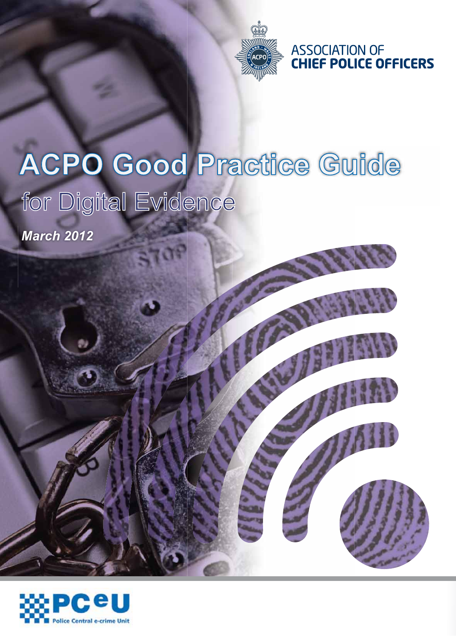

**ASSOCIATION OF** 

**CHIEF POLICE OFFICERS** 

# **ACPO Good Practice Guide** for Digital Evidence

*March 2012*

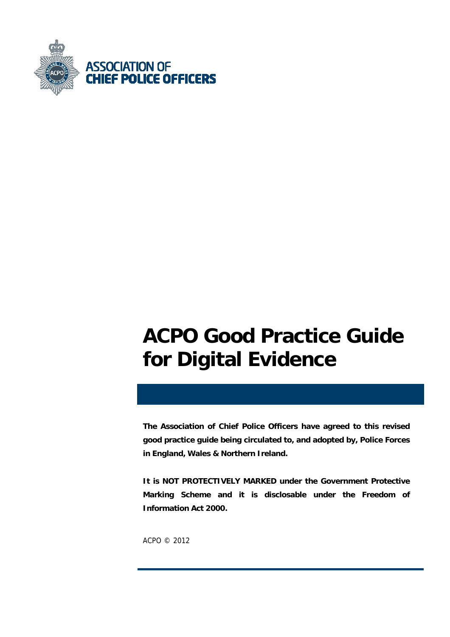

# **ACPO Good Practice Guide for Digital Evidence**

**The Association of Chief Police Officers have agreed to this revised good practice guide being circulated to, and adopted by, Police Forces in England, Wales & Northern Ireland.** 

**It is NOT PROTECTIVELY MARKED under the Government Protective Marking Scheme and it is disclosable under the Freedom of Information Act 2000.** 

ACPO © 2012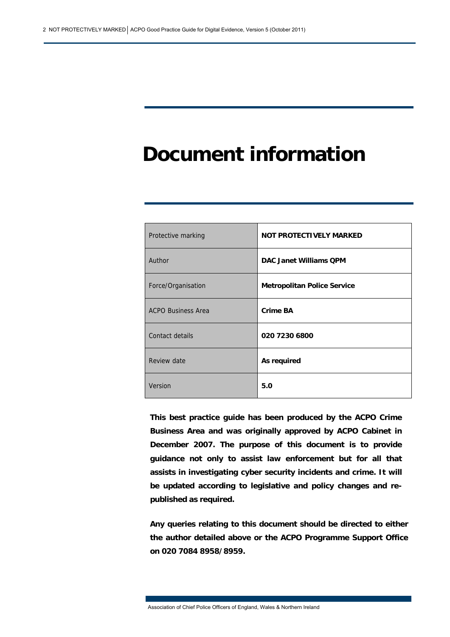## **Document information**

| Protective marking        | <b>NOT PROTECTIVELY MARKED</b>     |
|---------------------------|------------------------------------|
| Author                    | <b>DAC Janet Williams QPM</b>      |
| Force/Organisation        | <b>Metropolitan Police Service</b> |
| <b>ACPO Business Area</b> | <b>Crime BA</b>                    |
| Contact details           | 020 7230 6800                      |
| Review date               | As required                        |
| Version                   | 5.0                                |

**This best practice guide has been produced by the ACPO Crime Business Area and was originally approved by ACPO Cabinet in December 2007. The purpose of this document is to provide guidance not only to assist law enforcement but for all that assists in investigating cyber security incidents and crime. It will be updated according to legislative and policy changes and republished as required.** 

**Any queries relating to this document should be directed to either the author detailed above or the ACPO Programme Support Office on 020 7084 8958/8959.**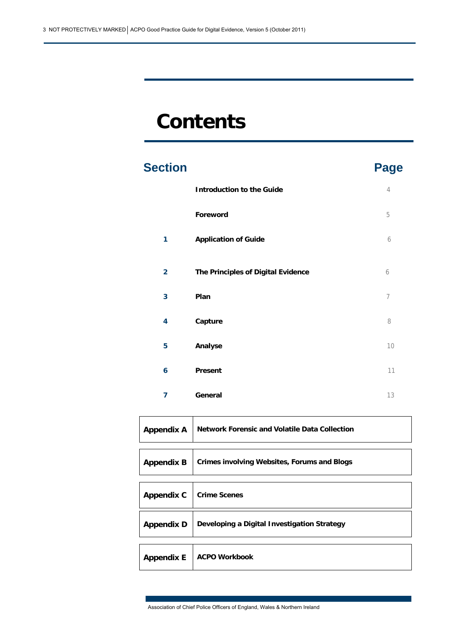# **Contents**

### **Section Page**

|                | <b>Introduction to the Guide</b>   | $\overline{4}$ |
|----------------|------------------------------------|----------------|
|                | Foreword                           | 5              |
| 1              | <b>Application of Guide</b>        | 6              |
| $\overline{2}$ | The Principles of Digital Evidence | 6              |
| 3              | Plan                               | $\overline{7}$ |
| 4              | Capture                            | 8              |
| 5              | Analyse                            | 10             |
| 6              | <b>Present</b>                     | 11             |
| 7              | General                            | 13             |

| <b>Appendix A</b> | <b>Network Forensic and Volatile Data Collection</b> |
|-------------------|------------------------------------------------------|
|                   |                                                      |
| <b>Appendix B</b> | <b>Crimes involving Websites, Forums and Blogs</b>   |
|                   |                                                      |
| <b>Appendix C</b> | <b>Crime Scenes</b>                                  |

| Appendix D   Developing a Digital Investigation Strategy |
|----------------------------------------------------------|
|                                                          |
| Appendix E   ACPO Workbook                               |

Association of Chief Police Officers of England, Wales & Northern Ireland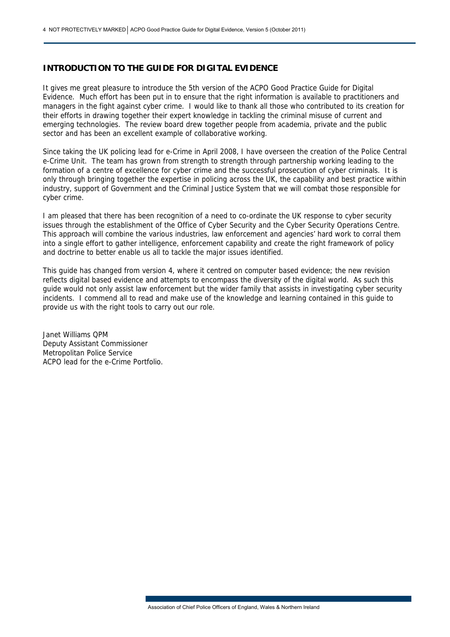#### **INTRODUCTION TO THE GUIDE FOR DIGITAL EVIDENCE**

It gives me great pleasure to introduce the 5th version of the ACPO Good Practice Guide for Digital Evidence. Much effort has been put in to ensure that the right information is available to practitioners and managers in the fight against cyber crime. I would like to thank all those who contributed to its creation for their efforts in drawing together their expert knowledge in tackling the criminal misuse of current and emerging technologies. The review board drew together people from academia, private and the public sector and has been an excellent example of collaborative working.

Since taking the UK policing lead for e-Crime in April 2008, I have overseen the creation of the Police Central e-Crime Unit. The team has grown from strength to strength through partnership working leading to the formation of a centre of excellence for cyber crime and the successful prosecution of cyber criminals. It is only through bringing together the expertise in policing across the UK, the capability and best practice within industry, support of Government and the Criminal Justice System that we will combat those responsible for cyber crime.

I am pleased that there has been recognition of a need to co-ordinate the UK response to cyber security issues through the establishment of the Office of Cyber Security and the Cyber Security Operations Centre. This approach will combine the various industries, law enforcement and agencies' hard work to corral them into a single effort to gather intelligence, enforcement capability and create the right framework of policy and doctrine to better enable us all to tackle the major issues identified.

This guide has changed from version 4, where it centred on computer based evidence; the new revision reflects digital based evidence and attempts to encompass the diversity of the digital world. As such this guide would not only assist law enforcement but the wider family that assists in investigating cyber security incidents. I commend all to read and make use of the knowledge and learning contained in this guide to provide us with the right tools to carry out our role.

Janet Williams QPM Deputy Assistant Commissioner Metropolitan Police Service ACPO lead for the e-Crime Portfolio.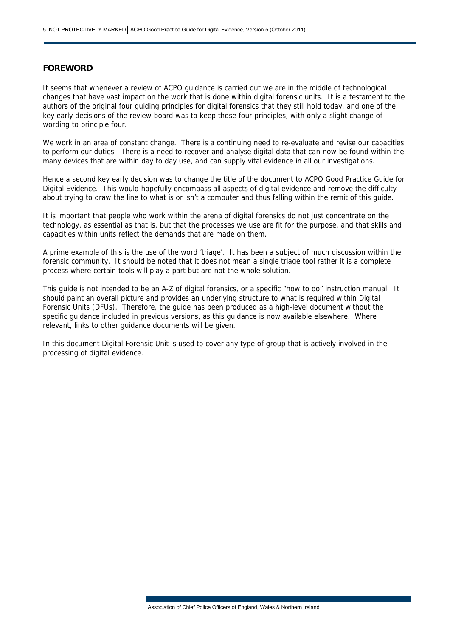#### **FOREWORD**

It seems that whenever a review of ACPO guidance is carried out we are in the middle of technological changes that have vast impact on the work that is done within digital forensic units. It is a testament to the authors of the original four guiding principles for digital forensics that they still hold today, and one of the key early decisions of the review board was to keep those four principles, with only a slight change of wording to principle four.

We work in an area of constant change. There is a continuing need to re-evaluate and revise our capacities to perform our duties. There is a need to recover and analyse digital data that can now be found within the many devices that are within day to day use, and can supply vital evidence in all our investigations.

Hence a second key early decision was to change the title of the document to ACPO Good Practice Guide for Digital Evidence. This would hopefully encompass all aspects of digital evidence and remove the difficulty about trying to draw the line to what is or isn't a computer and thus falling within the remit of this guide.

It is important that people who work within the arena of digital forensics do not just concentrate on the technology, as essential as that is, but that the processes we use are fit for the purpose, and that skills and capacities within units reflect the demands that are made on them.

A prime example of this is the use of the word 'triage'. It has been a subject of much discussion within the forensic community. It should be noted that it does not mean a single triage tool rather it is a complete process where certain tools will play a part but are not the whole solution.

This guide is not intended to be an A-Z of digital forensics, or a specific "how to do" instruction manual. It should paint an overall picture and provides an underlying structure to what is required within Digital Forensic Units (DFUs). Therefore, the guide has been produced as a high-level document without the specific guidance included in previous versions, as this guidance is now available elsewhere. Where relevant, links to other guidance documents will be given.

In this document Digital Forensic Unit is used to cover any type of group that is actively involved in the processing of digital evidence.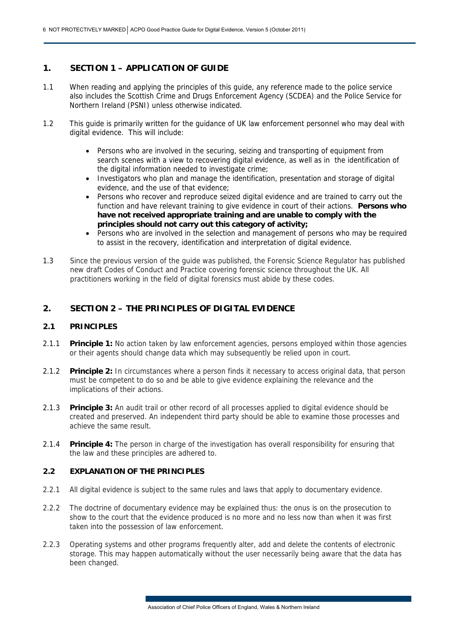#### **1. SECTION 1 – APPLICATION OF GUIDE**

- 1.1 When reading and applying the principles of this guide, any reference made to the police service also includes the Scottish Crime and Drugs Enforcement Agency (SCDEA) and the Police Service for Northern Ireland (PSNI) unless otherwise indicated.
- 1.2 This guide is primarily written for the guidance of UK law enforcement personnel who may deal with digital evidence. This will include:
	- Persons who are involved in the securing, seizing and transporting of equipment from search scenes with a view to recovering digital evidence, as well as in the identification of the digital information needed to investigate crime;
	- Investigators who plan and manage the identification, presentation and storage of digital evidence, and the use of that evidence;
	- Persons who recover and reproduce seized digital evidence and are trained to carry out the function and have relevant training to give evidence in court of their actions. **Persons who have not received appropriate training and are unable to comply with the principles should not carry out this category of activity;**
	- Persons who are involved in the selection and management of persons who may be required to assist in the recovery, identification and interpretation of digital evidence.
- 1.3 Since the previous version of the guide was published, the Forensic Science Regulator has published new draft Codes of Conduct and Practice covering forensic science throughout the UK. All practitioners working in the field of digital forensics must abide by these codes.

#### **2. SECTION 2 – THE PRINCIPLES OF DIGITAL EVIDENCE**

#### **2.1 PRINCIPLES**

- 2.1.1 **Principle 1:** No action taken by law enforcement agencies, persons employed within those agencies or their agents should change data which may subsequently be relied upon in court.
- 2.1.2 **Principle 2:** In circumstances where a person finds it necessary to access original data, that person must be competent to do so and be able to give evidence explaining the relevance and the implications of their actions.
- 2.1.3 **Principle 3:** An audit trail or other record of all processes applied to digital evidence should be created and preserved. An independent third party should be able to examine those processes and achieve the same result.
- 2.1.4 **Principle 4:** The person in charge of the investigation has overall responsibility for ensuring that the law and these principles are adhered to.

#### **2.2 EXPLANATION OF THE PRINCIPLES**

- 2.2.1 All digital evidence is subject to the same rules and laws that apply to documentary evidence.
- 2.2.2 The doctrine of documentary evidence may be explained thus: the onus is on the prosecution to show to the court that the evidence produced is no more and no less now than when it was first taken into the possession of law enforcement.
- 2.2.3 Operating systems and other programs frequently alter, add and delete the contents of electronic storage. This may happen automatically without the user necessarily being aware that the data has been changed.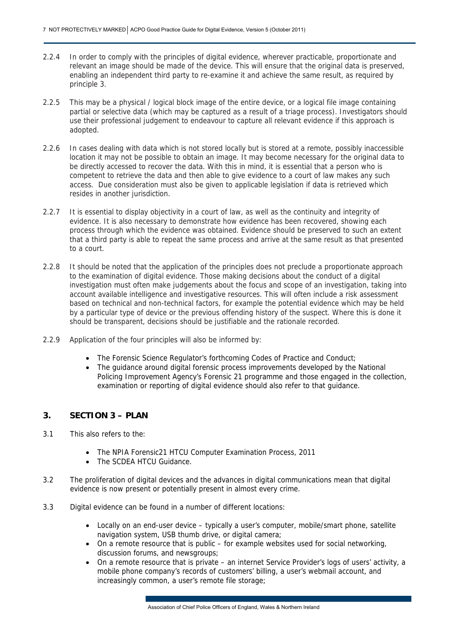- 2.2.4 In order to comply with the principles of digital evidence, wherever practicable, proportionate and relevant an image should be made of the device. This will ensure that the original data is preserved, enabling an independent third party to re-examine it and achieve the same result, as required by principle 3.
- 2.2.5 This may be a physical / logical block image of the entire device, or a logical file image containing partial or selective data (which may be captured as a result of a triage process). Investigators should use their professional judgement to endeavour to capture all relevant evidence if this approach is adopted.
- 2.2.6 In cases dealing with data which is not stored locally but is stored at a remote, possibly inaccessible location it may not be possible to obtain an image. It may become necessary for the original data to be directly accessed to recover the data. With this in mind, it is essential that a person who is competent to retrieve the data and then able to give evidence to a court of law makes any such access. Due consideration must also be given to applicable legislation if data is retrieved which resides in another jurisdiction.
- 2.2.7 It is essential to display objectivity in a court of law, as well as the continuity and integrity of evidence. It is also necessary to demonstrate how evidence has been recovered, showing each process through which the evidence was obtained. Evidence should be preserved to such an extent that a third party is able to repeat the same process and arrive at the same result as that presented to a court.
- 2.2.8 It should be noted that the application of the principles does not preclude a proportionate approach to the examination of digital evidence. Those making decisions about the conduct of a digital investigation must often make judgements about the focus and scope of an investigation, taking into account available intelligence and investigative resources. This will often include a risk assessment based on technical and non-technical factors, for example the potential evidence which may be held by a particular type of device or the previous offending history of the suspect. Where this is done it should be transparent, decisions should be justifiable and the rationale recorded.
- 2.2.9 Application of the four principles will also be informed by:
	- The Forensic Science Regulator's forthcoming Codes of Practice and Conduct;
	- The guidance around digital forensic process improvements developed by the National Policing Improvement Agency's Forensic 21 programme and those engaged in the collection, examination or reporting of digital evidence should also refer to that guidance.

#### **3. SECTION 3 – PLAN**

- 3.1 This also refers to the:
	- The NPIA Forensic21 HTCU Computer Examination Process, 2011
	- The SCDEA HTCU Guidance
- 3.2 The proliferation of digital devices and the advances in digital communications mean that digital evidence is now present or potentially present in almost every crime.
- 3.3 Digital evidence can be found in a number of different locations:
	- Locally on an end-user device typically a user's computer, mobile/smart phone, satellite navigation system, USB thumb drive, or digital camera;
	- $\bullet$  On a remote resource that is public for example websites used for social networking, discussion forums, and newsgroups;
	- On a remote resource that is private an internet Service Provider's logs of users' activity, a mobile phone company's records of customers' billing, a user's webmail account, and increasingly common, a user's remote file storage;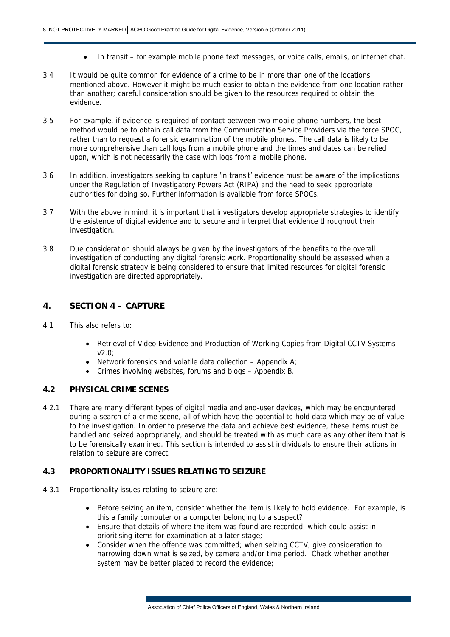- In transit for example mobile phone text messages, or voice calls, emails, or internet chat.
- 3.4 It would be quite common for evidence of a crime to be in more than one of the locations mentioned above. However it might be much easier to obtain the evidence from one location rather than another; careful consideration should be given to the resources required to obtain the evidence.
- 3.5 For example, if evidence is required of contact between two mobile phone numbers, the best method would be to obtain call data from the Communication Service Providers via the force SPOC, rather than to request a forensic examination of the mobile phones. The call data is likely to be more comprehensive than call logs from a mobile phone and the times and dates can be relied upon, which is not necessarily the case with logs from a mobile phone.
- 3.6 In addition, investigators seeking to capture 'in transit' evidence must be aware of the implications under the Regulation of Investigatory Powers Act (RIPA) and the need to seek appropriate authorities for doing so. Further information is available from force SPOCs.
- 3.7 With the above in mind, it is important that investigators develop appropriate strategies to identify the existence of digital evidence and to secure and interpret that evidence throughout their investigation.
- 3.8 Due consideration should always be given by the investigators of the benefits to the overall investigation of conducting any digital forensic work. Proportionality should be assessed when a digital forensic strategy is being considered to ensure that limited resources for digital forensic investigation are directed appropriately.

#### **4. SECTION 4 – CAPTURE**

- 4.1 This also refers to:
	- Retrieval of Video Evidence and Production of Working Copies from Digital CCTV Systems v2.0;
	- Network forensics and volatile data collection  $-$  Appendix A;
	- Crimes involving websites, forums and blogs Appendix B.

#### **4.2 PHYSICAL CRIME SCENES**

4.2.1 There are many different types of digital media and end-user devices, which may be encountered during a search of a crime scene, all of which have the potential to hold data which may be of value to the investigation. In order to preserve the data and achieve best evidence, these items must be handled and seized appropriately, and should be treated with as much care as any other item that is to be forensically examined. This section is intended to assist individuals to ensure their actions in relation to seizure are correct.

#### **4.3 PROPORTIONALITY ISSUES RELATING TO SEIZURE**

- 4.3.1 Proportionality issues relating to seizure are:
	- Before seizing an item, consider whether the item is likely to hold evidence. For example, is this a family computer or a computer belonging to a suspect?
	- Ensure that details of where the item was found are recorded, which could assist in prioritising items for examination at a later stage;
	- Consider when the offence was committed; when seizing CCTV, give consideration to narrowing down what is seized, by camera and/or time period. Check whether another system may be better placed to record the evidence;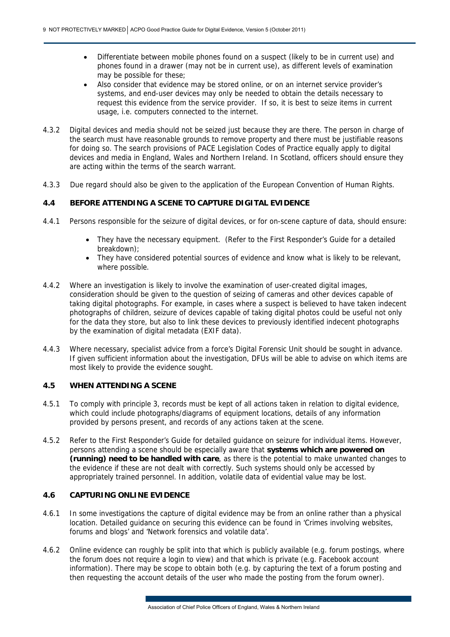- Differentiate between mobile phones found on a suspect (likely to be in current use) and phones found in a drawer (may not be in current use), as different levels of examination may be possible for these;
- Also consider that evidence may be stored online, or on an internet service provider's systems, and end-user devices may only be needed to obtain the details necessary to request this evidence from the service provider. If so, it is best to seize items in current usage, i.e. computers connected to the internet.
- 4.3.2 Digital devices and media should not be seized just because they are there. The person in charge of the search must have reasonable grounds to remove property and there must be justifiable reasons for doing so. The search provisions of PACE Legislation Codes of Practice equally apply to digital devices and media in England, Wales and Northern Ireland. In Scotland, officers should ensure they are acting within the terms of the search warrant.
- 4.3.3 Due regard should also be given to the application of the European Convention of Human Rights.

#### **4.4 BEFORE ATTENDING A SCENE TO CAPTURE DIGITAL EVIDENCE**

- 4.4.1 Persons responsible for the seizure of digital devices, or for on-scene capture of data, should ensure:
	- They have the necessary equipment. (Refer to the First Responder's Guide for a detailed breakdown);
	- They have considered potential sources of evidence and know what is likely to be relevant, where possible.
- 4.4.2 Where an investigation is likely to involve the examination of user-created digital images, consideration should be given to the question of seizing of cameras and other devices capable of taking digital photographs. For example, in cases where a suspect is believed to have taken indecent photographs of children, seizure of devices capable of taking digital photos could be useful not only for the data they store, but also to link these devices to previously identified indecent photographs by the examination of digital metadata (EXIF data).
- 4.4.3 Where necessary, specialist advice from a force's Digital Forensic Unit should be sought in advance. If given sufficient information about the investigation, DFUs will be able to advise on which items are most likely to provide the evidence sought.

#### **4.5 WHEN ATTENDING A SCENE**

- 4.5.1 To comply with principle 3, records must be kept of all actions taken in relation to digital evidence, which could include photographs/diagrams of equipment locations, details of any information provided by persons present, and records of any actions taken at the scene.
- 4.5.2 Refer to the First Responder's Guide for detailed guidance on seizure for individual items. However, persons attending a scene should be especially aware that **systems which are powered on (running) need to be handled with care**, as there is the potential to make unwanted changes to the evidence if these are not dealt with correctly. Such systems should only be accessed by appropriately trained personnel. In addition, volatile data of evidential value may be lost.

#### **4.6 CAPTURING ONLINE EVIDENCE**

- 4.6.1 In some investigations the capture of digital evidence may be from an online rather than a physical location. Detailed guidance on securing this evidence can be found in 'Crimes involving websites, forums and blogs' and 'Network forensics and volatile data'.
- 4.6.2 Online evidence can roughly be split into that which is publicly available (e.g. forum postings, where the forum does not require a login to view) and that which is private (e.g. Facebook account information). There may be scope to obtain both (e.g. by capturing the text of a forum posting and then requesting the account details of the user who made the posting from the forum owner).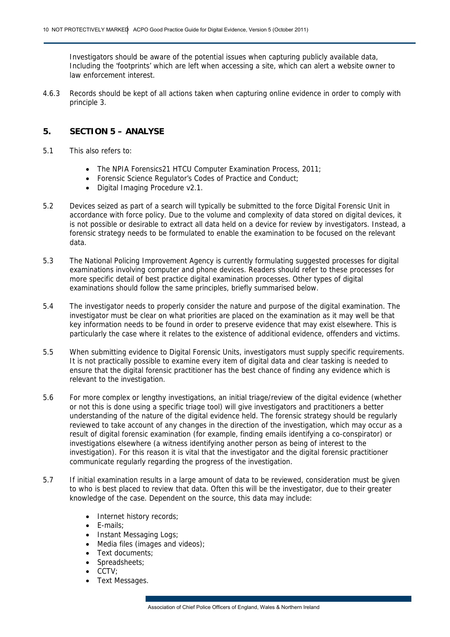Investigators should be aware of the potential issues when capturing publicly available data, Including the 'footprints' which are left when accessing a site, which can alert a website owner to law enforcement interest.

4.6.3 Records should be kept of all actions taken when capturing online evidence in order to comply with principle 3.

#### **5. SECTION 5 – ANALYSE**

- 5.1 This also refers to:
	- The NPIA Forensics21 HTCU Computer Examination Process, 2011;
	- Forensic Science Regulator's Codes of Practice and Conduct;
	- Digital Imaging Procedure v2.1.
- 5.2 Devices seized as part of a search will typically be submitted to the force Digital Forensic Unit in accordance with force policy. Due to the volume and complexity of data stored on digital devices, it is not possible or desirable to extract all data held on a device for review by investigators. Instead, a forensic strategy needs to be formulated to enable the examination to be focused on the relevant data.
- 5.3 The National Policing Improvement Agency is currently formulating suggested processes for digital examinations involving computer and phone devices. Readers should refer to these processes for more specific detail of best practice digital examination processes. Other types of digital examinations should follow the same principles, briefly summarised below.
- 5.4 The investigator needs to properly consider the nature and purpose of the digital examination. The investigator must be clear on what priorities are placed on the examination as it may well be that key information needs to be found in order to preserve evidence that may exist elsewhere. This is particularly the case where it relates to the existence of additional evidence, offenders and victims.
- 5.5 When submitting evidence to Digital Forensic Units, investigators must supply specific requirements. It is not practically possible to examine every item of digital data and clear tasking is needed to ensure that the digital forensic practitioner has the best chance of finding any evidence which is relevant to the investigation.
- 5.6 For more complex or lengthy investigations, an initial triage/review of the digital evidence (whether or not this is done using a specific triage tool) will give investigators and practitioners a better understanding of the nature of the digital evidence held. The forensic strategy should be regularly reviewed to take account of any changes in the direction of the investigation, which may occur as a result of digital forensic examination (for example, finding emails identifying a co-conspirator) or investigations elsewhere (a witness identifying another person as being of interest to the investigation). For this reason it is vital that the investigator and the digital forensic practitioner communicate regularly regarding the progress of the investigation.
- 5.7 If initial examination results in a large amount of data to be reviewed, consideration must be given to who is best placed to review that data. Often this will be the investigator, due to their greater knowledge of the case. Dependent on the source, this data may include:
	- Internet history records;
	- E-mails;
	- Instant Messaging Logs:
	- Media files (images and videos);
	- Text documents:
	- Spreadsheets:
	- CCTV;
	- Text Messages.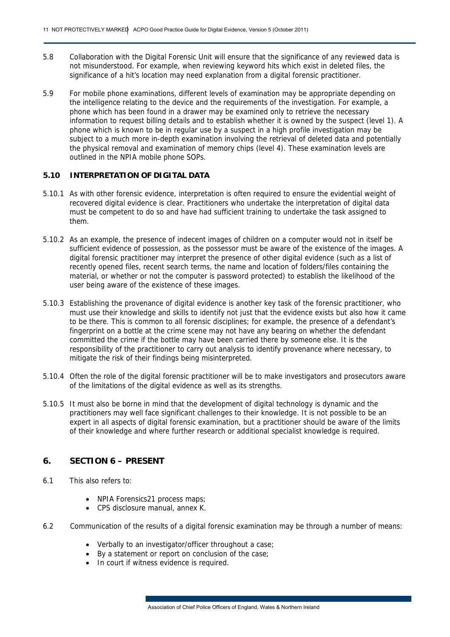- 5.8 Collaboration with the Digital Forensic Unit will ensure that the significance of any reviewed data is not misunderstood. For example, when reviewing keyword hits which exist in deleted files, the significance of a hit's location may need explanation from a digital forensic practitioner.
- 5.9 For mobile phone examinations, different levels of examination may be appropriate depending on the intelligence relating to the device and the requirements of the investigation. For example, a phone which has been found in a drawer may be examined only to retrieve the necessary information to request billing details and to establish whether it is owned by the suspect (level 1). A phone which is known to be in regular use by a suspect in a high profile investigation may be subject to a much more in-depth examination involving the retrieval of deleted data and potentially the physical removal and examination of memory chips (level 4). These examination levels are outlined in the NPIA mobile phone SOPs.

#### **5.10 INTERPRETATION OF DIGITAL DATA**

- 5.10.1 As with other forensic evidence, interpretation is often required to ensure the evidential weight of recovered digital evidence is clear. Practitioners who undertake the interpretation of digital data must be competent to do so and have had sufficient training to undertake the task assigned to them.
- 5.10.2 As an example, the presence of indecent images of children on a computer would not in itself be sufficient evidence of possession, as the possessor must be aware of the existence of the images. A digital forensic practitioner may interpret the presence of other digital evidence (such as a list of recently opened files, recent search terms, the name and location of folders/files containing the material, or whether or not the computer is password protected) to establish the likelihood of the user being aware of the existence of these images.
- 5.10.3 Establishing the provenance of digital evidence is another key task of the forensic practitioner, who must use their knowledge and skills to identify not just that the evidence exists but also how it came to be there. This is common to all forensic disciplines; for example, the presence of a defendant's fingerprint on a bottle at the crime scene may not have any bearing on whether the defendant committed the crime if the bottle may have been carried there by someone else. It is the responsibility of the practitioner to carry out analysis to identify provenance where necessary, to mitigate the risk of their findings being misinterpreted.
- 5.10.4 Often the role of the digital forensic practitioner will be to make investigators and prosecutors aware of the limitations of the digital evidence as well as its strengths.
- 5.10.5 It must also be borne in mind that the development of digital technology is dynamic and the practitioners may well face significant challenges to their knowledge. It is not possible to be an expert in all aspects of digital forensic examination, but a practitioner should be aware of the limits of their knowledge and where further research or additional specialist knowledge is required.

#### **6. SECTION 6 – PRESENT**

- 6.1 This also refers to:
	- NPIA Forensics21 process maps:
	- CPS disclosure manual, annex K.
- 6.2 Communication of the results of a digital forensic examination may be through a number of means:
	- Verbally to an investigator/officer throughout a case;
	- By a statement or report on conclusion of the case;
	- In court if witness evidence is required.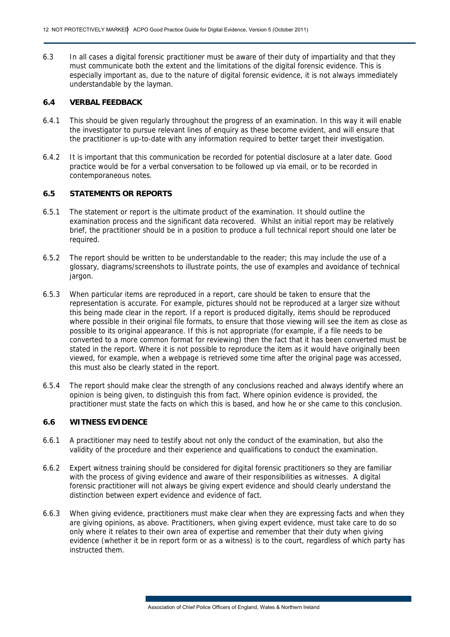6.3 In all cases a digital forensic practitioner must be aware of their duty of impartiality and that they must communicate both the extent and the limitations of the digital forensic evidence. This is especially important as, due to the nature of digital forensic evidence, it is not always immediately understandable by the layman.

#### **6.4 VERBAL FEEDBACK**

- 6.4.1 This should be given regularly throughout the progress of an examination. In this way it will enable the investigator to pursue relevant lines of enquiry as these become evident, and will ensure that the practitioner is up-to-date with any information required to better target their investigation.
- 6.4.2 It is important that this communication be recorded for potential disclosure at a later date. Good practice would be for a verbal conversation to be followed up via email, or to be recorded in contemporaneous notes.

#### **6.5 STATEMENTS OR REPORTS**

- 6.5.1 The statement or report is the ultimate product of the examination. It should outline the examination process and the significant data recovered. Whilst an initial report may be relatively brief, the practitioner should be in a position to produce a full technical report should one later be required.
- 6.5.2 The report should be written to be understandable to the reader; this may include the use of a glossary, diagrams/screenshots to illustrate points, the use of examples and avoidance of technical jargon.
- 6.5.3 When particular items are reproduced in a report, care should be taken to ensure that the representation is accurate. For example, pictures should not be reproduced at a larger size without this being made clear in the report. If a report is produced digitally, items should be reproduced where possible in their original file formats, to ensure that those viewing will see the item as close as possible to its original appearance. If this is not appropriate (for example, if a file needs to be converted to a more common format for reviewing) then the fact that it has been converted must be stated in the report. Where it is not possible to reproduce the item as it would have originally been viewed, for example, when a webpage is retrieved some time after the original page was accessed, this must also be clearly stated in the report.
- 6.5.4 The report should make clear the strength of any conclusions reached and always identify where an opinion is being given, to distinguish this from fact. Where opinion evidence is provided, the practitioner must state the facts on which this is based, and how he or she came to this conclusion.

#### **6.6 WITNESS EVIDENCE**

- 6.6.1 A practitioner may need to testify about not only the conduct of the examination, but also the validity of the procedure and their experience and qualifications to conduct the examination.
- 6.6.2 Expert witness training should be considered for digital forensic practitioners so they are familiar with the process of giving evidence and aware of their responsibilities as witnesses. A digital forensic practitioner will not always be giving expert evidence and should clearly understand the distinction between expert evidence and evidence of fact.
- 6.6.3 When giving evidence, practitioners must make clear when they are expressing facts and when they are giving opinions, as above. Practitioners, when giving expert evidence, must take care to do so only where it relates to their own area of expertise and remember that their duty when giving evidence (whether it be in report form or as a witness) is to the court, regardless of which party has instructed them.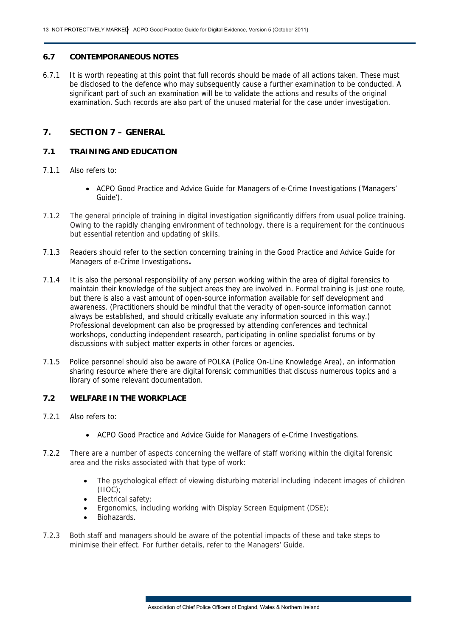#### **6.7 CONTEMPORANEOUS NOTES**

6.7.1 It is worth repeating at this point that full records should be made of all actions taken. These must be disclosed to the defence who may subsequently cause a further examination to be conducted. A significant part of such an examination will be to validate the actions and results of the original examination. Such records are also part of the unused material for the case under investigation.

#### **7. SECTION 7 – GENERAL**

#### **7.1 TRAINING AND EDUCATION**

- 7.1.1 Also refers to:
	- ACPO Good Practice and Advice Guide for Managers of e-Crime Investigations ('Managers' Guide').
- 7.1.2 The general principle of training in digital investigation significantly differs from usual police training. Owing to the rapidly changing environment of technology, there is a requirement for the continuous but essential retention and updating of skills.
- 7.1.3 Readers should refer to the section concerning training in the Good Practice and Advice Guide for Managers of e-Crime Investigations**.**
- 7.1.4 It is also the personal responsibility of any person working within the area of digital forensics to maintain their knowledge of the subject areas they are involved in. Formal training is just one route, but there is also a vast amount of open-source information available for self development and awareness. (Practitioners should be mindful that the veracity of open-source information cannot always be established, and should critically evaluate any information sourced in this way.) Professional development can also be progressed by attending conferences and technical workshops, conducting independent research, participating in online specialist forums or by discussions with subject matter experts in other forces or agencies.
- 7.1.5 Police personnel should also be aware of POLKA (Police On-Line Knowledge Area), an information sharing resource where there are digital forensic communities that discuss numerous topics and a library of some relevant documentation.

#### **7.2 WELFARE IN THE WORKPLACE**

- 7.2.1 Also refers to:
	- ACPO Good Practice and Advice Guide for Managers of e-Crime Investigations.
- 7.2.2 There are a number of aspects concerning the welfare of staff working within the digital forensic area and the risks associated with that type of work:
	- The psychological effect of viewing disturbing material including indecent images of children (IIOC);
	- Electrical safety;
	- Ergonomics, including working with Display Screen Equipment (DSE);
	- Biohazards.
- 7.2.3 Both staff and managers should be aware of the potential impacts of these and take steps to minimise their effect. For further details, refer to the Managers' Guide.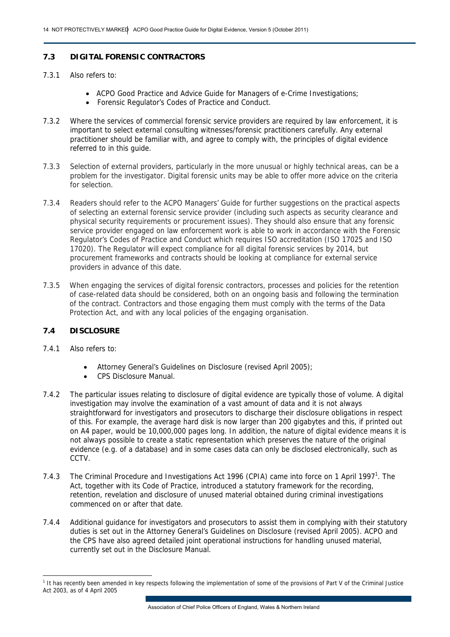#### **7.3 DIGITAL FORENSIC CONTRACTORS**

- 7.3.1 Also refers to:
	- ACPO Good Practice and Advice Guide for Managers of e-Crime Investigations;
	- Forensic Regulator's Codes of Practice and Conduct.
- 7.3.2 Where the services of commercial forensic service providers are required by law enforcement, it is important to select external consulting witnesses/forensic practitioners carefully. Any external practitioner should be familiar with, and agree to comply with, the principles of digital evidence referred to in this guide.
- 7.3.3 Selection of external providers, particularly in the more unusual or highly technical areas, can be a problem for the investigator. Digital forensic units may be able to offer more advice on the criteria for selection.
- 7.3.4 Readers should refer to the ACPO Managers' Guide for further suggestions on the practical aspects of selecting an external forensic service provider (including such aspects as security clearance and physical security requirements or procurement issues). They should also ensure that any forensic service provider engaged on law enforcement work is able to work in accordance with the Forensic Regulator's Codes of Practice and Conduct which requires ISO accreditation (ISO 17025 and ISO 17020). The Regulator will expect compliance for all digital forensic services by 2014, but procurement frameworks and contracts should be looking at compliance for external service providers in advance of this date.
- 7.3.5 When engaging the services of digital forensic contractors, processes and policies for the retention of case-related data should be considered, both on an ongoing basis and following the termination of the contract. Contractors and those engaging them must comply with the terms of the Data Protection Act, and with any local policies of the engaging organisation.

#### **7.4 DISCLOSURE**

7.4.1 Also refers to:

- Attorney General's Guidelines on Disclosure (revised April 2005);
- CPS Disclosure Manual.
- 7.4.2 The particular issues relating to disclosure of digital evidence are typically those of volume. A digital investigation may involve the examination of a vast amount of data and it is not always straightforward for investigators and prosecutors to discharge their disclosure obligations in respect of this. For example, the average hard disk is now larger than 200 gigabytes and this, if printed out on A4 paper, would be 10,000,000 pages long. In addition, the nature of digital evidence means it is not always possible to create a static representation which preserves the nature of the original evidence (e.g. of a database) and in some cases data can only be disclosed electronically, such as CCTV.
- 7.4.3 The Criminal Procedure and Investigations Act 1996 (CPIA) came into force on 1 April 1997<sup>1</sup>. The Act, together with its Code of Practice, introduced a statutory framework for the recording, retention, revelation and disclosure of unused material obtained during criminal investigations commenced on or after that date.
- 7.4.4 Additional guidance for investigators and prosecutors to assist them in complying with their statutory duties is set out in the Attorney General's Guidelines on Disclosure (revised April 2005). ACPO and the CPS have also agreed detailed joint operational instructions for handling unused material, currently set out in the Disclosure Manual.

<sup>&</sup>lt;sup>1</sup> It has recently been amended in key respects following the implementation of some of the provisions of Part V of the Criminal Justice Act 2003, as of 4 April 2005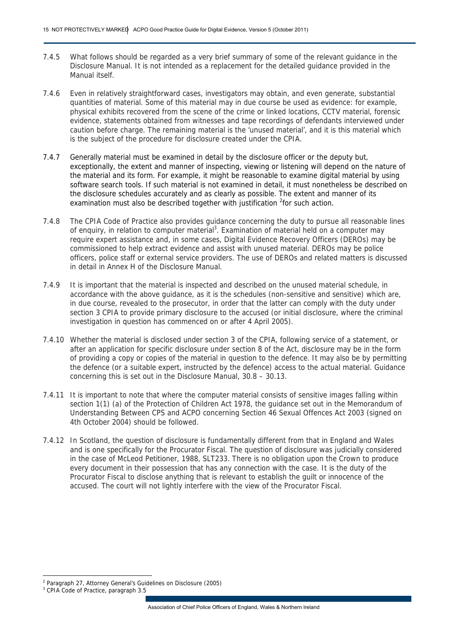- 7.4.5 What follows should be regarded as a very brief summary of some of the relevant guidance in the Disclosure Manual. It is not intended as a replacement for the detailed guidance provided in the Manual itself.
- 7.4.6 Even in relatively straightforward cases, investigators may obtain, and even generate, substantial quantities of material. Some of this material may in due course be used as evidence: for example, physical exhibits recovered from the scene of the crime or linked locations, CCTV material, forensic evidence, statements obtained from witnesses and tape recordings of defendants interviewed under caution before charge. The remaining material is the 'unused material', and it is this material which is the subject of the procedure for disclosure created under the CPIA.
- 7.4.7 Generally material must be examined in detail by the disclosure officer or the deputy but, exceptionally, the extent and manner of inspecting, viewing or listening will depend on the nature of the material and its form. For example, it might be reasonable to examine digital material by using software search tools. If such material is not examined in detail, it must nonetheless be described on the disclosure schedules accurately and as clearly as possible. The extent and manner of its examination must also be described together with justification <sup>2</sup>for such action.
- 7.4.8 The CPIA Code of Practice also provides guidance concerning the duty to pursue all reasonable lines of enquiry, in relation to computer material<sup>3</sup>. Examination of material held on a computer may require expert assistance and, in some cases, Digital Evidence Recovery Officers (DEROs) may be commissioned to help extract evidence and assist with unused material. DEROs may be police officers, police staff or external service providers. The use of DEROs and related matters is discussed in detail in Annex H of the Disclosure Manual.
- 7.4.9 It is important that the material is inspected and described on the unused material schedule, in accordance with the above guidance, as it is the schedules (non-sensitive and sensitive) which are, in due course, revealed to the prosecutor, in order that the latter can comply with the duty under section 3 CPIA to provide primary disclosure to the accused (or initial disclosure, where the criminal investigation in question has commenced on or after 4 April 2005).
- 7.4.10 Whether the material is disclosed under section 3 of the CPIA, following service of a statement, or after an application for specific disclosure under section 8 of the Act, disclosure may be in the form of providing a copy or copies of the material in question to the defence. It may also be by permitting the defence (or a suitable expert, instructed by the defence) access to the actual material. Guidance concerning this is set out in the Disclosure Manual, 30.8 – 30.13.
- 7.4.11 It is important to note that where the computer material consists of sensitive images falling within section 1(1) (a) of the Protection of Children Act 1978, the guidance set out in the Memorandum of Understanding Between CPS and ACPO concerning Section 46 Sexual Offences Act 2003 (signed on 4th October 2004) should be followed.
- 7.4.12 In Scotland, the question of disclosure is fundamentally different from that in England and Wales and is one specifically for the Procurator Fiscal. The question of disclosure was judicially considered in the case of McLeod Petitioner, 1988, SLT233. There is no obligation upon the Crown to produce every document in their possession that has any connection with the case. It is the duty of the Procurator Fiscal to disclose anything that is relevant to establish the guilt or innocence of the accused. The court will not lightly interfere with the view of the Procurator Fiscal.

 <sup>2</sup> Paragraph 27, Attorney General's Guidelines on Disclosure (2005)<br><sup>3</sup> CBLA Code of Prastice, naragraph 2.5

<sup>&</sup>lt;sup>3</sup> CPIA Code of Practice, paragraph 3.5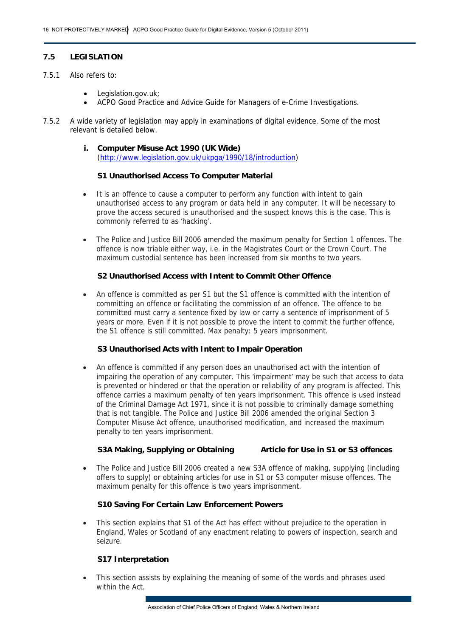#### **7.5 LEGISLATION**

#### 7.5.1 Also refers to:

- Legislation.gov.uk;
- ACPO Good Practice and Advice Guide for Managers of e-Crime Investigations.
- 7.5.2 A wide variety of legislation may apply in examinations of digital evidence. Some of the most relevant is detailed below.
	- **i. Computer Misuse Act 1990 (UK Wide)**  (http://www.legislation.gov.uk/ukpga/1990/18/introduction)

#### **S1 Unauthorised Access To Computer Material**

- It is an offence to cause a computer to perform any function with intent to gain unauthorised access to any program or data held in any computer. It will be necessary to prove the access secured is unauthorised and the suspect knows this is the case. This is commonly referred to as 'hacking'.
- The Police and Justice Bill 2006 amended the maximum penalty for Section 1 offences. The offence is now triable either way, i.e. in the Magistrates Court or the Crown Court. The maximum custodial sentence has been increased from six months to two years.

#### **S2 Unauthorised Access with Intent to Commit Other Offence**

• An offence is committed as per S1 but the S1 offence is committed with the intention of committing an offence or facilitating the commission of an offence. The offence to be committed must carry a sentence fixed by law or carry a sentence of imprisonment of 5 years or more. Even if it is not possible to prove the intent to commit the further offence, the S1 offence is still committed. Max penalty: 5 years imprisonment.

#### **S3 Unauthorised Acts with Intent to Impair Operation**

• An offence is committed if any person does an unauthorised act with the intention of impairing the operation of any computer. This 'impairment' may be such that access to data is prevented or hindered or that the operation or reliability of any program is affected. This offence carries a maximum penalty of ten years imprisonment. This offence is used instead of the Criminal Damage Act 1971, since it is not possible to criminally damage something that is not tangible. The Police and Justice Bill 2006 amended the original Section 3 Computer Misuse Act offence, unauthorised modification, and increased the maximum penalty to ten years imprisonment.

#### **S3A Making, Supplying or Obtaining Article for Use in S1 or S3 offences**

• The Police and Justice Bill 2006 created a new S3A offence of making, supplying (including offers to supply) or obtaining articles for use in S1 or S3 computer misuse offences. The maximum penalty for this offence is two years imprisonment.

#### **S10 Saving For Certain Law Enforcement Powers**

• This section explains that S1 of the Act has effect without prejudice to the operation in England, Wales or Scotland of any enactment relating to powers of inspection, search and seizure.

#### **S17 Interpretation**

This section assists by explaining the meaning of some of the words and phrases used within the Act.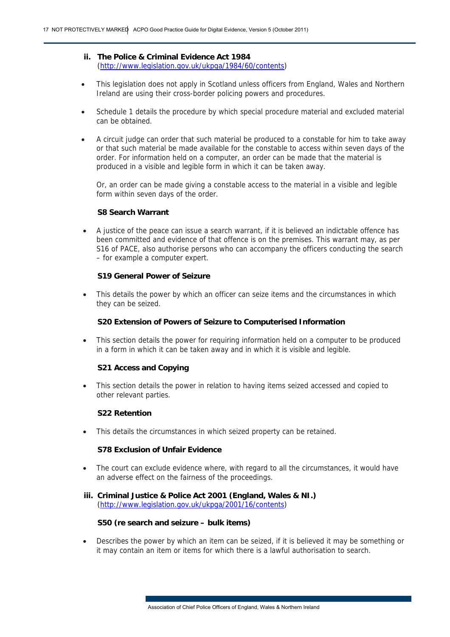#### **ii. The Police & Criminal Evidence Act 1984**  (http://www.legislation.gov.uk/ukpga/1984/60/contents)

- This legislation does not apply in Scotland unless officers from England, Wales and Northern Ireland are using their cross-border policing powers and procedures.
- Schedule 1 details the procedure by which special procedure material and excluded material can be obtained.
- A circuit judge can order that such material be produced to a constable for him to take away or that such material be made available for the constable to access within seven days of the order. For information held on a computer, an order can be made that the material is produced in a visible and legible form in which it can be taken away.

Or, an order can be made giving a constable access to the material in a visible and legible form within seven days of the order.

#### **S8 Search Warrant**

• A justice of the peace can issue a search warrant, if it is believed an indictable offence has been committed and evidence of that offence is on the premises. This warrant may, as per S16 of PACE, also authorise persons who can accompany the officers conducting the search – for example a computer expert.

#### **S19 General Power of Seizure**

This details the power by which an officer can seize items and the circumstances in which they can be seized.

#### **S20 Extension of Powers of Seizure to Computerised Information**

• This section details the power for requiring information held on a computer to be produced in a form in which it can be taken away and in which it is visible and legible.

#### **S21 Access and Copying**

• This section details the power in relation to having items seized accessed and copied to other relevant parties.

#### **S22 Retention**

This details the circumstances in which seized property can be retained.

#### **S78 Exclusion of Unfair Evidence**

- The court can exclude evidence where, with regard to all the circumstances, it would have an adverse effect on the fairness of the proceedings.
- **iii. Criminal Justice & Police Act 2001 (England, Wales & NI.)**  (http://www.legislation.gov.uk/ukpga/2001/16/contents)

#### **S50 (re search and seizure – bulk items)**

• Describes the power by which an item can be seized, if it is believed it may be something or it may contain an item or items for which there is a lawful authorisation to search.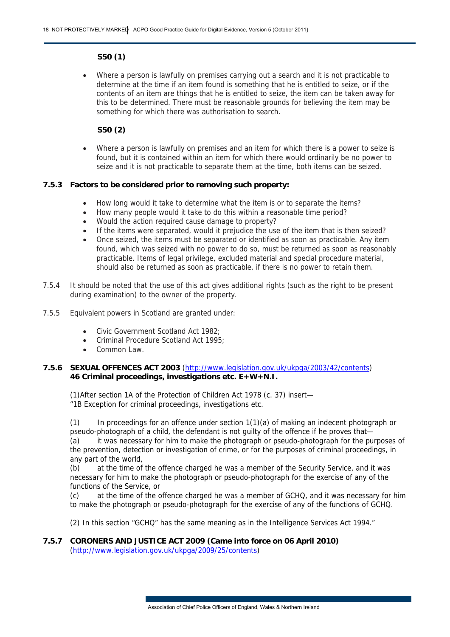#### **S50 (1)**

• Where a person is lawfully on premises carrying out a search and it is not practicable to determine at the time if an item found is something that he is entitled to seize, or if the contents of an item are things that he is entitled to seize, the item can be taken away for this to be determined. There must be reasonable grounds for believing the item may be something for which there was authorisation to search.

#### **S50 (2)**

• Where a person is lawfully on premises and an item for which there is a power to seize is found, but it is contained within an item for which there would ordinarily be no power to seize and it is not practicable to separate them at the time, both items can be seized.

#### **7.5.3 Factors to be considered prior to removing such property:**

- How long would it take to determine what the item is or to separate the items?
- How many people would it take to do this within a reasonable time period?
- Would the action required cause damage to property?
- If the items were separated, would it prejudice the use of the item that is then seized?
- Once seized, the items must be separated or identified as soon as practicable. Any item found, which was seized with no power to do so, must be returned as soon as reasonably practicable. Items of legal privilege, excluded material and special procedure material, should also be returned as soon as practicable, if there is no power to retain them.
- 7.5.4 It should be noted that the use of this act gives additional rights (such as the right to be present during examination) to the owner of the property.
- 7.5.5 Equivalent powers in Scotland are granted under:
	- Civic Government Scotland Act 1982;
	- Criminal Procedure Scotland Act 1995;
	- Common Law.

#### **7.5.6 SEXUAL OFFENCES ACT 2003** (http://www.legislation.gov.uk/ukpga/2003/42/contents) **46 Criminal proceedings, investigations etc. E+W+N.I.**

(1)After section 1A of the Protection of Children Act 1978 (c. 37) insert— "1B Exception for criminal proceedings, investigations etc.

(1) In proceedings for an offence under section 1(1)(a) of making an indecent photograph or pseudo-photograph of a child, the defendant is not guilty of the offence if he proves that— (a) it was necessary for him to make the photograph or pseudo-photograph for the purposes of the prevention, detection or investigation of crime, or for the purposes of criminal proceedings, in any part of the world,

(b) at the time of the offence charged he was a member of the Security Service, and it was necessary for him to make the photograph or pseudo-photograph for the exercise of any of the functions of the Service, or

(c) at the time of the offence charged he was a member of GCHQ, and it was necessary for him to make the photograph or pseudo-photograph for the exercise of any of the functions of GCHQ.

(2) In this section "GCHQ" has the same meaning as in the Intelligence Services Act 1994."

#### **7.5.7 CORONERS AND JUSTICE ACT 2009 (Came into force on 06 April 2010)**  (http://www.legislation.gov.uk/ukpga/2009/25/contents)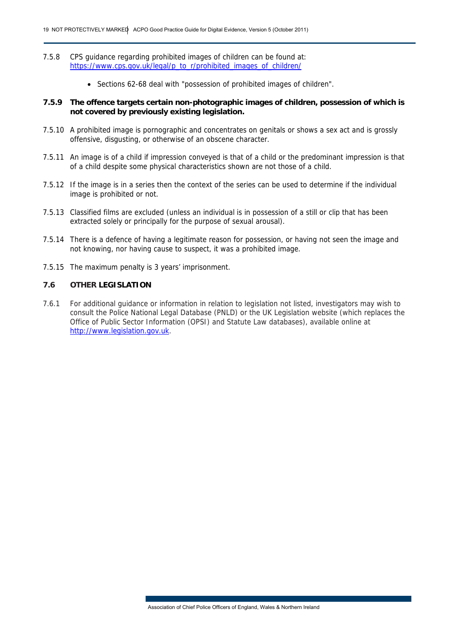- 7.5.8 CPS guidance regarding prohibited images of children can be found at: https://www.cps.gov.uk/legal/p\_to\_r/prohibited\_images\_of\_children/
	- Sections 62-68 deal with "possession of prohibited images of children".

#### **7.5.9 The offence targets certain non-photographic images of children, possession of which is not covered by previously existing legislation.**

- 7.5.10 A prohibited image is pornographic and concentrates on genitals or shows a sex act and is grossly offensive, disgusting, or otherwise of an obscene character.
- 7.5.11 An image is of a child if impression conveyed is that of a child or the predominant impression is that of a child despite some physical characteristics shown are not those of a child.
- 7.5.12 If the image is in a series then the context of the series can be used to determine if the individual image is prohibited or not.
- 7.5.13 Classified films are excluded (unless an individual is in possession of a still or clip that has been extracted solely or principally for the purpose of sexual arousal).
- 7.5.14 There is a defence of having a legitimate reason for possession, or having not seen the image and not knowing, nor having cause to suspect, it was a prohibited image.
- 7.5.15 The maximum penalty is 3 years' imprisonment.

#### **7.6 OTHER LEGISLATION**

7.6.1 For additional guidance or information in relation to legislation not listed, investigators may wish to consult the Police National Legal Database (PNLD) or the UK Legislation website (which replaces the Office of Public Sector Information (OPSI) and Statute Law databases), available online at http://www.legislation.gov.uk.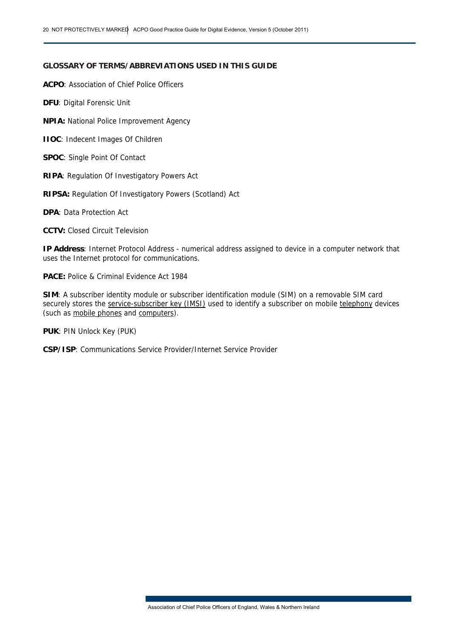#### **GLOSSARY OF TERMS/ABBREVIATIONS USED IN THIS GUIDE**

**ACPO**: Association of Chief Police Officers

**DFU**: Digital Forensic Unit

**NPIA:** National Police Improvement Agency

**IIOC**: Indecent Images Of Children

**SPOC**: Single Point Of Contact

**RIPA**: Regulation Of Investigatory Powers Act

**RIPSA:** Regulation Of Investigatory Powers (Scotland) Act

**DPA**: Data Protection Act

**CCTV:** Closed Circuit Television

**IP Address**: Internet Protocol Address - numerical address assigned to device in a computer network that uses the Internet protocol for communications.

**PACE:** Police & Criminal Evidence Act 1984

**SIM**: A subscriber identity module or subscriber identification module (SIM) on a removable SIM card securely stores the service-subscriber key (IMSI) used to identify a subscriber on mobile telephony devices (such as mobile phones and computers).

**PUK**: PIN Unlock Key (PUK)

**CSP/ISP**: Communications Service Provider/Internet Service Provider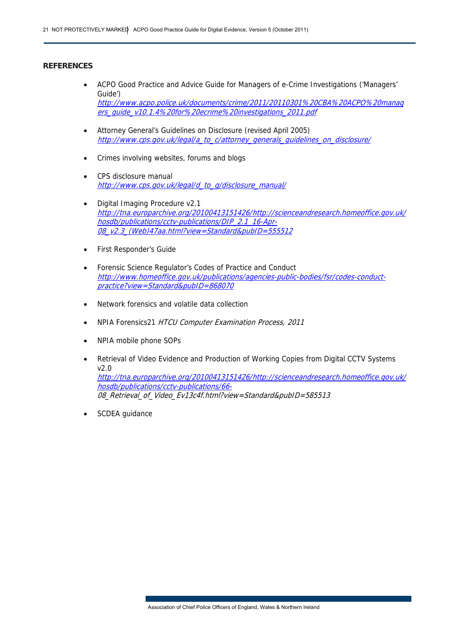#### **REFERENCES**

- ACPO Good Practice and Advice Guide for Managers of e-Crime Investigations ('Managers' Guide') http://www.acpo.police.uk/documents/crime/2011/20110301%20CBA%20ACPO%20manag ers\_guide\_v10.1.4%20for%20ecrime%20investigations\_2011.pdf
- Attorney General's Guidelines on Disclosure (revised April 2005) http://www.cps.gov.uk/legal/a\_to\_c/attorney\_generals\_guidelines\_on\_disclosure/
- Crimes involving websites, forums and blogs
- CPS disclosure manual http://www.cps.gov.uk/legal/d\_to\_g/disclosure\_manual/
- Digital Imaging Procedure v2.1 http://tna.europarchive.org/20100413151426/http://scienceandresearch.homeoffice.gov.uk/ hosdb/publications/cctv-publications/DIP\_2.1\_16-Apr-08\_v2.3\_(Web)47aa.html?view=Standard&pubID=555512
- First Responder's Guide
- Forensic Science Regulator's Codes of Practice and Conduct http://www.homeoffice.gov.uk/publications/agencies-public-bodies/fsr/codes-conductpractice?view=Standard&pubID=868070
- Network forensics and volatile data collection
- NPIA Forensics21 HTCU Computer Examination Process, 2011
- NPIA mobile phone SOPs
- Retrieval of Video Evidence and Production of Working Copies from Digital CCTV Systems v2.0 http://tna.europarchive.org/20100413151426/http://scienceandresearch.homeoffice.gov.uk/ hosdb/publications/cctv-publications/66- 08\_Retrieval\_of\_Video\_Ev13c4f.html?view=Standard&pubID=585513
- SCDEA quidance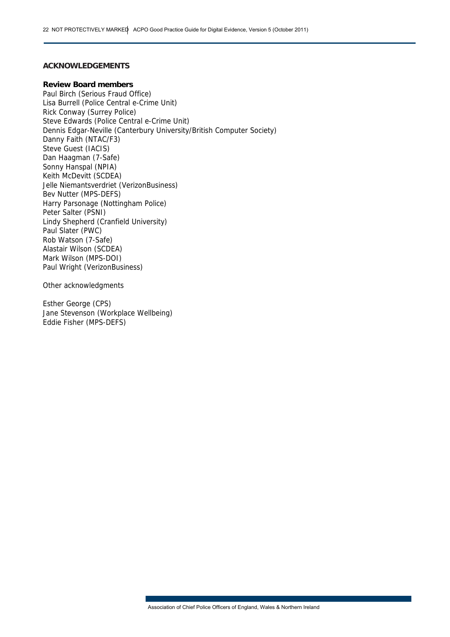#### **ACKNOWLEDGEMENTS**

#### **Review Board members**

Paul Birch (Serious Fraud Office) Lisa Burrell (Police Central e-Crime Unit) Rick Conway (Surrey Police) Steve Edwards (Police Central e-Crime Unit) Dennis Edgar-Neville (Canterbury University/British Computer Society) Danny Faith (NTAC/F3) Steve Guest (IACIS) Dan Haagman (7-Safe) Sonny Hanspal (NPIA) Keith McDevitt (SCDEA) Jelle Niemantsverdriet (VerizonBusiness) Bev Nutter (MPS-DEFS) Harry Parsonage (Nottingham Police) Peter Salter (PSNI) Lindy Shepherd (Cranfield University) Paul Slater (PWC) Rob Watson (7-Safe) Alastair Wilson (SCDEA) Mark Wilson (MPS-DOI) Paul Wright (VerizonBusiness)

Other acknowledgments

Esther George (CPS) Jane Stevenson (Workplace Wellbeing) Eddie Fisher (MPS-DEFS)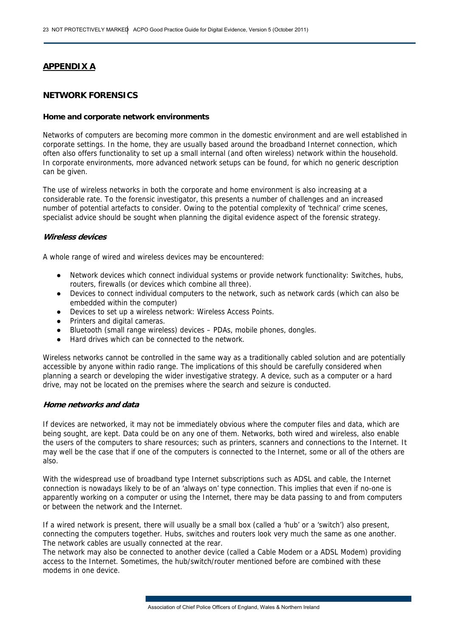#### **APPENDIX A**

#### **NETWORK FORENSICS**

#### **Home and corporate network environments**

Networks of computers are becoming more common in the domestic environment and are well established in corporate settings. In the home, they are usually based around the broadband Internet connection, which often also offers functionality to set up a small internal (and often wireless) network within the household. In corporate environments, more advanced network setups can be found, for which no generic description can be given.

The use of wireless networks in both the corporate and home environment is also increasing at a considerable rate. To the forensic investigator, this presents a number of challenges and an increased number of potential artefacts to consider. Owing to the potential complexity of 'technical' crime scenes, specialist advice should be sought when planning the digital evidence aspect of the forensic strategy.

#### **Wireless devices**

A whole range of wired and wireless devices may be encountered:

- Network devices which connect individual systems or provide network functionality: Switches, hubs, routers, firewalls (or devices which combine all three).
- Devices to connect individual computers to the network, such as network cards (which can also be embedded within the computer)
- Devices to set up a wireless network: Wireless Access Points.
- Printers and digital cameras.
- Bluetooth (small range wireless) devices PDAs, mobile phones, dongles.
- Hard drives which can be connected to the network.

Wireless networks cannot be controlled in the same way as a traditionally cabled solution and are potentially accessible by anyone within radio range. The implications of this should be carefully considered when planning a search or developing the wider investigative strategy. A device, such as a computer or a hard drive, may not be located on the premises where the search and seizure is conducted.

#### **Home networks and data**

If devices are networked, it may not be immediately obvious where the computer files and data, which are being sought, are kept. Data could be on any one of them. Networks, both wired and wireless, also enable the users of the computers to share resources; such as printers, scanners and connections to the Internet. It may well be the case that if one of the computers is connected to the Internet, some or all of the others are also.

With the widespread use of broadband type Internet subscriptions such as ADSL and cable, the Internet connection is nowadays likely to be of an 'always on' type connection. This implies that even if no-one is apparently working on a computer or using the Internet, there may be data passing to and from computers or between the network and the Internet.

If a wired network is present, there will usually be a small box (called a 'hub' or a 'switch') also present, connecting the computers together. Hubs, switches and routers look very much the same as one another. The network cables are usually connected at the rear.

The network may also be connected to another device (called a Cable Modem or a ADSL Modem) providing access to the Internet. Sometimes, the hub/switch/router mentioned before are combined with these modems in one device.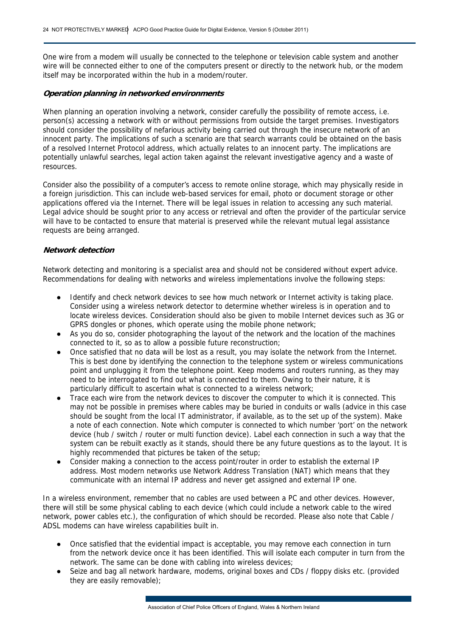One wire from a modem will usually be connected to the telephone or television cable system and another wire will be connected either to one of the computers present or directly to the network hub, or the modem itself may be incorporated within the hub in a modem/router.

#### **Operation planning in networked environments**

When planning an operation involving a network, consider carefully the possibility of remote access, i.e. person(s) accessing a network with or without permissions from outside the target premises. Investigators should consider the possibility of nefarious activity being carried out through the insecure network of an innocent party. The implications of such a scenario are that search warrants could be obtained on the basis of a resolved Internet Protocol address, which actually relates to an innocent party. The implications are potentially unlawful searches, legal action taken against the relevant investigative agency and a waste of resources.

Consider also the possibility of a computer's access to remote online storage, which may physically reside in a foreign jurisdiction. This can include web-based services for email, photo or document storage or other applications offered via the Internet. There will be legal issues in relation to accessing any such material. Legal advice should be sought prior to any access or retrieval and often the provider of the particular service will have to be contacted to ensure that material is preserved while the relevant mutual legal assistance requests are being arranged.

#### **Network detection**

Network detecting and monitoring is a specialist area and should not be considered without expert advice. Recommendations for dealing with networks and wireless implementations involve the following steps:

- Identify and check network devices to see how much network or Internet activity is taking place. Consider using a wireless network detector to determine whether wireless is in operation and to locate wireless devices. Consideration should also be given to mobile Internet devices such as 3G or GPRS dongles or phones, which operate using the mobile phone network;
- As you do so, consider photographing the layout of the network and the location of the machines connected to it, so as to allow a possible future reconstruction;
- Once satisfied that no data will be lost as a result, you may isolate the network from the Internet. This is best done by identifying the connection to the telephone system or wireless communications point and unplugging it from the telephone point. Keep modems and routers running, as they may need to be interrogated to find out what is connected to them. Owing to their nature, it is particularly difficult to ascertain what is connected to a wireless network;
- Trace each wire from the network devices to discover the computer to which it is connected. This may not be possible in premises where cables may be buried in conduits or walls (advice in this case should be sought from the local IT administrator, if available, as to the set up of the system). Make a note of each connection. Note which computer is connected to which number 'port' on the network device (hub / switch / router or multi function device). Label each connection in such a way that the system can be rebuilt exactly as it stands, should there be any future questions as to the layout. It is highly recommended that pictures be taken of the setup;
- Consider making a connection to the access point/router in order to establish the external IP address. Most modern networks use Network Address Translation (NAT) which means that they communicate with an internal IP address and never get assigned and external IP one.

In a wireless environment, remember that no cables are used between a PC and other devices. However, there will still be some physical cabling to each device (which could include a network cable to the wired network, power cables etc.), the configuration of which should be recorded. Please also note that Cable / ADSL modems can have wireless capabilities built in.

- Once satisfied that the evidential impact is acceptable, you may remove each connection in turn from the network device once it has been identified. This will isolate each computer in turn from the network. The same can be done with cabling into wireless devices;
- Seize and bag all network hardware, modems, original boxes and CDs / floppy disks etc. (provided they are easily removable);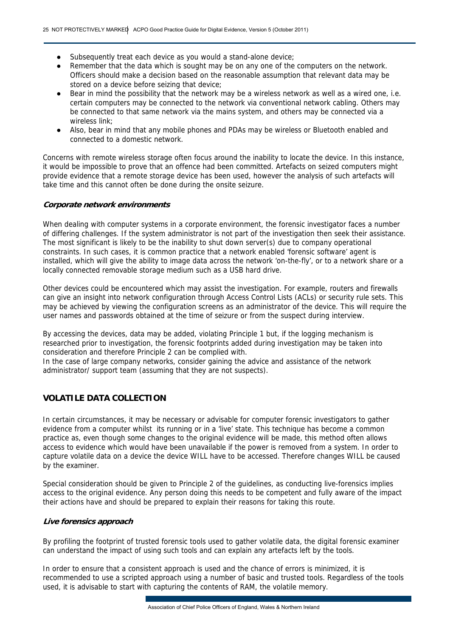- Subsequently treat each device as you would a stand-alone device;
- Remember that the data which is sought may be on any one of the computers on the network. Officers should make a decision based on the reasonable assumption that relevant data may be stored on a device before seizing that device;
- Bear in mind the possibility that the network may be a wireless network as well as a wired one, i.e. certain computers may be connected to the network via conventional network cabling. Others may be connected to that same network via the mains system, and others may be connected via a wireless link;
- Also, bear in mind that any mobile phones and PDAs may be wireless or Bluetooth enabled and connected to a domestic network.

Concerns with remote wireless storage often focus around the inability to locate the device. In this instance, it would be impossible to prove that an offence had been committed. Artefacts on seized computers might provide evidence that a remote storage device has been used, however the analysis of such artefacts will take time and this cannot often be done during the onsite seizure.

#### **Corporate network environments**

When dealing with computer systems in a corporate environment, the forensic investigator faces a number of differing challenges. If the system administrator is not part of the investigation then seek their assistance. The most significant is likely to be the inability to shut down server(s) due to company operational constraints. In such cases, it is common practice that a network enabled 'forensic software' agent is installed, which will give the ability to image data across the network 'on-the-fly', or to a network share or a locally connected removable storage medium such as a USB hard drive.

Other devices could be encountered which may assist the investigation. For example, routers and firewalls can give an insight into network configuration through Access Control Lists (ACLs) or security rule sets. This may be achieved by viewing the configuration screens as an administrator of the device. This will require the user names and passwords obtained at the time of seizure or from the suspect during interview.

By accessing the devices, data may be added, violating Principle 1 but, if the logging mechanism is researched prior to investigation, the forensic footprints added during investigation may be taken into consideration and therefore Principle 2 can be complied with.

In the case of large company networks, consider gaining the advice and assistance of the network administrator/ support team (assuming that they are not suspects).

#### **VOLATILE DATA COLLECTION**

In certain circumstances, it may be necessary or advisable for computer forensic investigators to gather evidence from a computer whilst its running or in a 'live' state. This technique has become a common practice as, even though some changes to the original evidence will be made, this method often allows access to evidence which would have been unavailable if the power is removed from a system. In order to capture volatile data on a device the device WILL have to be accessed. Therefore changes WILL be caused by the examiner.

Special consideration should be given to Principle 2 of the guidelines, as conducting live-forensics implies access to the original evidence. Any person doing this needs to be competent and fully aware of the impact their actions have and should be prepared to explain their reasons for taking this route.

#### **Live forensics approach**

By profiling the footprint of trusted forensic tools used to gather volatile data, the digital forensic examiner can understand the impact of using such tools and can explain any artefacts left by the tools.

In order to ensure that a consistent approach is used and the chance of errors is minimized, it is recommended to use a scripted approach using a number of basic and trusted tools. Regardless of the tools used, it is advisable to start with capturing the contents of RAM, the volatile memory.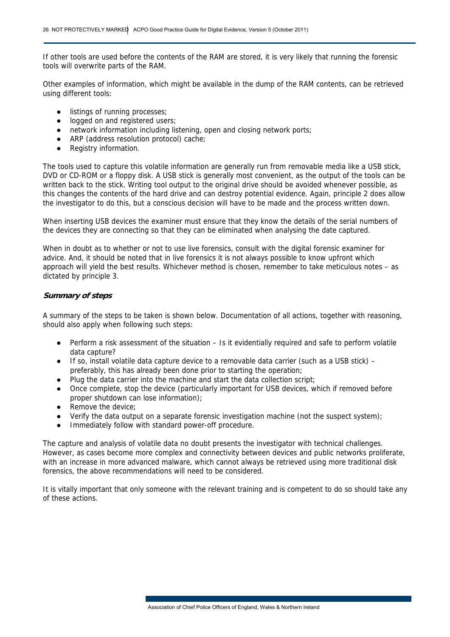If other tools are used before the contents of the RAM are stored, it is very likely that running the forensic tools will overwrite parts of the RAM.

Other examples of information, which might be available in the dump of the RAM contents, can be retrieved using different tools:

- listings of running processes;
- logged on and registered users;
- network information including listening, open and closing network ports;
- ARP (address resolution protocol) cache;
- Registry information.

The tools used to capture this volatile information are generally run from removable media like a USB stick, DVD or CD-ROM or a floppy disk. A USB stick is generally most convenient, as the output of the tools can be written back to the stick. Writing tool output to the original drive should be avoided whenever possible, as this changes the contents of the hard drive and can destroy potential evidence. Again, principle 2 does allow the investigator to do this, but a conscious decision will have to be made and the process written down.

When inserting USB devices the examiner must ensure that they know the details of the serial numbers of the devices they are connecting so that they can be eliminated when analysing the date captured.

When in doubt as to whether or not to use live forensics, consult with the digital forensic examiner for advice. And, it should be noted that in live forensics it is not always possible to know upfront which approach will yield the best results. Whichever method is chosen, remember to take meticulous notes – as dictated by principle 3.

#### **Summary of steps**

A summary of the steps to be taken is shown below. Documentation of all actions, together with reasoning, should also apply when following such steps:

- Perform a risk assessment of the situation Is it evidentially required and safe to perform volatile data capture?
- If so, install volatile data capture device to a removable data carrier (such as a USB stick) preferably, this has already been done prior to starting the operation;
- Plug the data carrier into the machine and start the data collection script;
- Once complete, stop the device (particularly important for USB devices, which if removed before proper shutdown can lose information);
- Remove the device;
- Verify the data output on a separate forensic investigation machine (not the suspect system);
- Immediately follow with standard power-off procedure.

The capture and analysis of volatile data no doubt presents the investigator with technical challenges. However, as cases become more complex and connectivity between devices and public networks proliferate, with an increase in more advanced malware, which cannot always be retrieved using more traditional disk forensics, the above recommendations will need to be considered.

It is vitally important that only someone with the relevant training and is competent to do so should take any of these actions.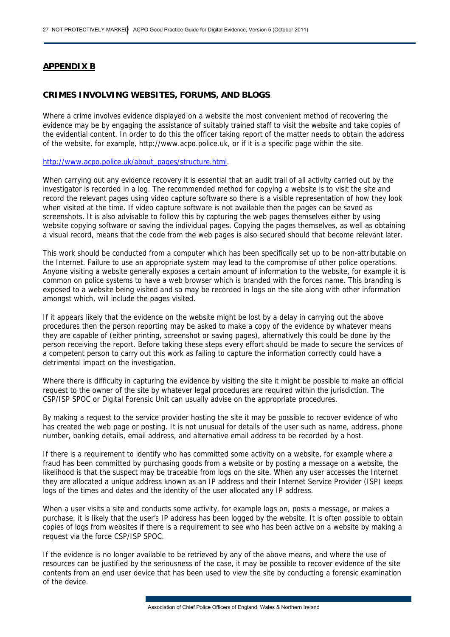#### **APPENDIX B**

#### **CRIMES INVOLVING WEBSITES, FORUMS, AND BLOGS**

Where a crime involves evidence displayed on a website the most convenient method of recovering the evidence may be by engaging the assistance of suitably trained staff to visit the website and take copies of the evidential content. In order to do this the officer taking report of the matter needs to obtain the address of the website, for example, http://www.acpo.police.uk, or if it is a specific page within the site.

#### http://www.acpo.police.uk/about\_pages/structure.html.

When carrying out any evidence recovery it is essential that an audit trail of all activity carried out by the investigator is recorded in a log. The recommended method for copying a website is to visit the site and record the relevant pages using video capture software so there is a visible representation of how they look when visited at the time. If video capture software is not available then the pages can be saved as screenshots. It is also advisable to follow this by capturing the web pages themselves either by using website copying software or saving the individual pages. Copying the pages themselves, as well as obtaining a visual record, means that the code from the web pages is also secured should that become relevant later.

This work should be conducted from a computer which has been specifically set up to be non-attributable on the Internet. Failure to use an appropriate system may lead to the compromise of other police operations. Anyone visiting a website generally exposes a certain amount of information to the website, for example it is common on police systems to have a web browser which is branded with the forces name. This branding is exposed to a website being visited and so may be recorded in logs on the site along with other information amongst which, will include the pages visited.

If it appears likely that the evidence on the website might be lost by a delay in carrying out the above procedures then the person reporting may be asked to make a copy of the evidence by whatever means they are capable of (either printing, screenshot or saving pages), alternatively this could be done by the person receiving the report. Before taking these steps every effort should be made to secure the services of a competent person to carry out this work as failing to capture the information correctly could have a detrimental impact on the investigation.

Where there is difficulty in capturing the evidence by visiting the site it might be possible to make an official request to the owner of the site by whatever legal procedures are required within the jurisdiction. The CSP/ISP SPOC or Digital Forensic Unit can usually advise on the appropriate procedures.

By making a request to the service provider hosting the site it may be possible to recover evidence of who has created the web page or posting. It is not unusual for details of the user such as name, address, phone number, banking details, email address, and alternative email address to be recorded by a host.

If there is a requirement to identify who has committed some activity on a website, for example where a fraud has been committed by purchasing goods from a website or by posting a message on a website, the likelihood is that the suspect may be traceable from logs on the site. When any user accesses the Internet they are allocated a unique address known as an IP address and their Internet Service Provider (ISP) keeps logs of the times and dates and the identity of the user allocated any IP address.

When a user visits a site and conducts some activity, for example logs on, posts a message, or makes a purchase, it is likely that the user's IP address has been logged by the website. It is often possible to obtain copies of logs from websites if there is a requirement to see who has been active on a website by making a request via the force CSP/ISP SPOC.

If the evidence is no longer available to be retrieved by any of the above means, and where the use of resources can be justified by the seriousness of the case, it may be possible to recover evidence of the site contents from an end user device that has been used to view the site by conducting a forensic examination of the device.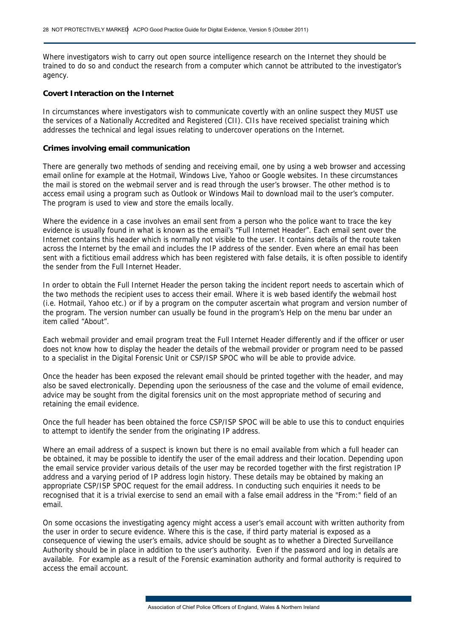Where investigators wish to carry out open source intelligence research on the Internet they should be trained to do so and conduct the research from a computer which cannot be attributed to the investigator's agency.

#### **Covert Interaction on the Internet**

In circumstances where investigators wish to communicate covertly with an online suspect they MUST use the services of a Nationally Accredited and Registered (CII). CIIs have received specialist training which addresses the technical and legal issues relating to undercover operations on the Internet.

#### **Crimes involving email communication**

There are generally two methods of sending and receiving email, one by using a web browser and accessing email online for example at the Hotmail, Windows Live, Yahoo or Google websites. In these circumstances the mail is stored on the webmail server and is read through the user's browser. The other method is to access email using a program such as Outlook or Windows Mail to download mail to the user's computer. The program is used to view and store the emails locally.

Where the evidence in a case involves an email sent from a person who the police want to trace the key evidence is usually found in what is known as the email's "Full Internet Header". Each email sent over the Internet contains this header which is normally not visible to the user. It contains details of the route taken across the Internet by the email and includes the IP address of the sender. Even where an email has been sent with a fictitious email address which has been registered with false details, it is often possible to identify the sender from the Full Internet Header.

In order to obtain the Full Internet Header the person taking the incident report needs to ascertain which of the two methods the recipient uses to access their email. Where it is web based identify the webmail host (i.e. Hotmail, Yahoo etc.) or if by a program on the computer ascertain what program and version number of the program. The version number can usually be found in the program's Help on the menu bar under an item called "About".

Each webmail provider and email program treat the Full Internet Header differently and if the officer or user does not know how to display the header the details of the webmail provider or program need to be passed to a specialist in the Digital Forensic Unit or CSP/ISP SPOC who will be able to provide advice.

Once the header has been exposed the relevant email should be printed together with the header, and may also be saved electronically. Depending upon the seriousness of the case and the volume of email evidence, advice may be sought from the digital forensics unit on the most appropriate method of securing and retaining the email evidence.

Once the full header has been obtained the force CSP/ISP SPOC will be able to use this to conduct enquiries to attempt to identify the sender from the originating IP address.

Where an email address of a suspect is known but there is no email available from which a full header can be obtained, it may be possible to identify the user of the email address and their location. Depending upon the email service provider various details of the user may be recorded together with the first registration IP address and a varying period of IP address login history. These details may be obtained by making an appropriate CSP/ISP SPOC request for the email address. In conducting such enquiries it needs to be recognised that it is a trivial exercise to send an email with a false email address in the "From:" field of an email.

On some occasions the investigating agency might access a user's email account with written authority from the user in order to secure evidence. Where this is the case, if third party material is exposed as a consequence of viewing the user's emails, advice should be sought as to whether a Directed Surveillance Authority should be in place in addition to the user's authority. Even if the password and log in details are available. For example as a result of the Forensic examination authority and formal authority is required to access the email account.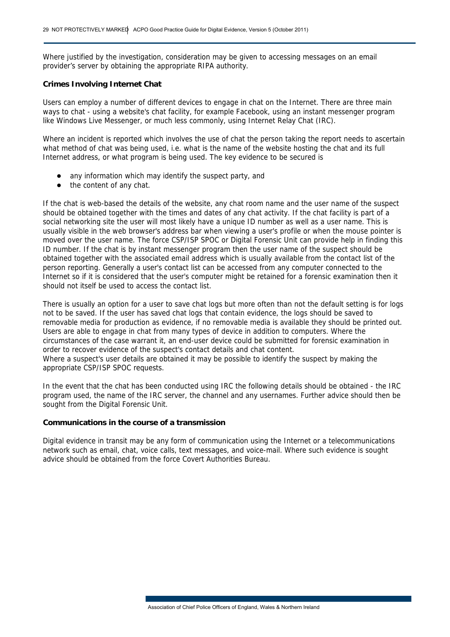Where justified by the investigation, consideration may be given to accessing messages on an email provider's server by obtaining the appropriate RIPA authority.

#### **Crimes Involving Internet Chat**

Users can employ a number of different devices to engage in chat on the Internet. There are three main ways to chat - using a website's chat facility, for example Facebook, using an instant messenger program like Windows Live Messenger, or much less commonly, using Internet Relay Chat (IRC).

Where an incident is reported which involves the use of chat the person taking the report needs to ascertain what method of chat was being used, i.e. what is the name of the website hosting the chat and its full Internet address, or what program is being used. The key evidence to be secured is

- any information which may identify the suspect party, and
- the content of any chat.

If the chat is web-based the details of the website, any chat room name and the user name of the suspect should be obtained together with the times and dates of any chat activity. If the chat facility is part of a social networking site the user will most likely have a unique ID number as well as a user name. This is usually visible in the web browser's address bar when viewing a user's profile or when the mouse pointer is moved over the user name. The force CSP/ISP SPOC or Digital Forensic Unit can provide help in finding this ID number. If the chat is by instant messenger program then the user name of the suspect should be obtained together with the associated email address which is usually available from the contact list of the person reporting. Generally a user's contact list can be accessed from any computer connected to the Internet so if it is considered that the user's computer might be retained for a forensic examination then it should not itself be used to access the contact list.

There is usually an option for a user to save chat logs but more often than not the default setting is for logs not to be saved. If the user has saved chat logs that contain evidence, the logs should be saved to removable media for production as evidence, if no removable media is available they should be printed out. Users are able to engage in chat from many types of device in addition to computers. Where the circumstances of the case warrant it, an end-user device could be submitted for forensic examination in order to recover evidence of the suspect's contact details and chat content. Where a suspect's user details are obtained it may be possible to identify the suspect by making the appropriate CSP/ISP SPOC requests.

In the event that the chat has been conducted using IRC the following details should be obtained - the IRC program used, the name of the IRC server, the channel and any usernames. Further advice should then be sought from the Digital Forensic Unit.

#### **Communications in the course of a transmission**

Digital evidence in transit may be any form of communication using the Internet or a telecommunications network such as email, chat, voice calls, text messages, and voice-mail. Where such evidence is sought advice should be obtained from the force Covert Authorities Bureau.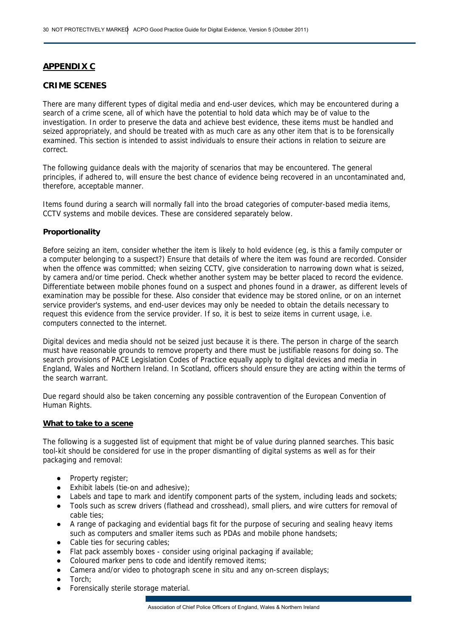#### **APPENDIX C**

#### **CRIME SCENES**

There are many different types of digital media and end-user devices, which may be encountered during a search of a crime scene, all of which have the potential to hold data which may be of value to the investigation. In order to preserve the data and achieve best evidence, these items must be handled and seized appropriately, and should be treated with as much care as any other item that is to be forensically examined. This section is intended to assist individuals to ensure their actions in relation to seizure are correct.

The following guidance deals with the majority of scenarios that may be encountered. The general principles, if adhered to, will ensure the best chance of evidence being recovered in an uncontaminated and, therefore, acceptable manner.

Items found during a search will normally fall into the broad categories of computer-based media items, CCTV systems and mobile devices. These are considered separately below.

#### **Proportionality**

Before seizing an item, consider whether the item is likely to hold evidence (eg, is this a family computer or a computer belonging to a suspect?) Ensure that details of where the item was found are recorded. Consider when the offence was committed; when seizing CCTV, give consideration to narrowing down what is seized, by camera and/or time period. Check whether another system may be better placed to record the evidence. Differentiate between mobile phones found on a suspect and phones found in a drawer, as different levels of examination may be possible for these. Also consider that evidence may be stored online, or on an internet service provider's systems, and end-user devices may only be needed to obtain the details necessary to request this evidence from the service provider. If so, it is best to seize items in current usage, i.e. computers connected to the internet.

Digital devices and media should not be seized just because it is there. The person in charge of the search must have reasonable grounds to remove property and there must be justifiable reasons for doing so. The search provisions of PACE Legislation Codes of Practice equally apply to digital devices and media in England, Wales and Northern Ireland. In Scotland, officers should ensure they are acting within the terms of the search warrant.

Due regard should also be taken concerning any possible contravention of the European Convention of Human Rights.

#### **What to take to a scene**

The following is a suggested list of equipment that might be of value during planned searches. This basic tool-kit should be considered for use in the proper dismantling of digital systems as well as for their packaging and removal:

- Property register;
- Exhibit labels (tie-on and adhesive);
- Labels and tape to mark and identify component parts of the system, including leads and sockets;
- Tools such as screw drivers (flathead and crosshead), small pliers, and wire cutters for removal of cable ties;
- A range of packaging and evidential bags fit for the purpose of securing and sealing heavy items such as computers and smaller items such as PDAs and mobile phone handsets;
- Cable ties for securing cables;
- Flat pack assembly boxes consider using original packaging if available;
- Coloured marker pens to code and identify removed items;
- Camera and/or video to photograph scene in situ and any on-screen displays;
- Torch:
- Forensically sterile storage material.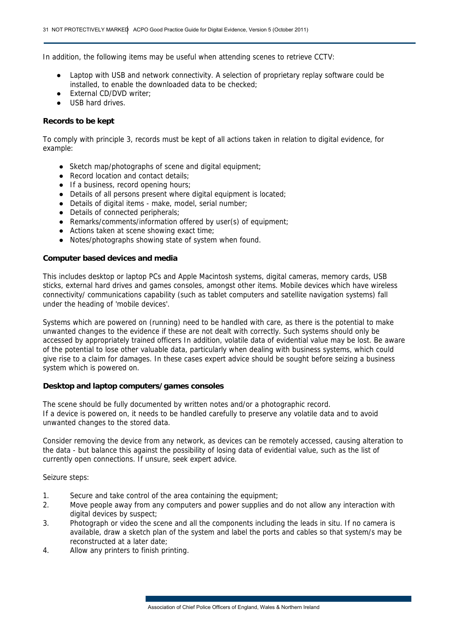In addition, the following items may be useful when attending scenes to retrieve CCTV:

- Laptop with USB and network connectivity. A selection of proprietary replay software could be installed, to enable the downloaded data to be checked;
- External CD/DVD writer:
- USB hard drives.

#### **Records to be kept**

To comply with principle 3, records must be kept of all actions taken in relation to digital evidence, for example:

- Sketch map/photographs of scene and digital equipment;
- Record location and contact details;
- If a business, record opening hours;
- Details of all persons present where digital equipment is located;
- Details of digital items make, model, serial number;
- Details of connected peripherals;
- Remarks/comments/information offered by user(s) of equipment;
- Actions taken at scene showing exact time;
- Notes/photographs showing state of system when found.

#### **Computer based devices and media**

This includes desktop or laptop PCs and Apple Macintosh systems, digital cameras, memory cards, USB sticks, external hard drives and games consoles, amongst other items. Mobile devices which have wireless connectivity/ communications capability (such as tablet computers and satellite navigation systems) fall under the heading of 'mobile devices'.

Systems which are powered on (running) need to be handled with care, as there is the potential to make unwanted changes to the evidence if these are not dealt with correctly. Such systems should only be accessed by appropriately trained officers In addition, volatile data of evidential value may be lost. Be aware of the potential to lose other valuable data, particularly when dealing with business systems, which could give rise to a claim for damages. In these cases expert advice should be sought before seizing a business system which is powered on.

#### **Desktop and laptop computers/games consoles**

The scene should be fully documented by written notes and/or a photographic record. If a device is powered on, it needs to be handled carefully to preserve any volatile data and to avoid unwanted changes to the stored data.

Consider removing the device from any network, as devices can be remotely accessed, causing alteration to the data - but balance this against the possibility of losing data of evidential value, such as the list of currently open connections. If unsure, seek expert advice.

Seizure steps:

- 1. Secure and take control of the area containing the equipment;
- 2. Move people away from any computers and power supplies and do not allow any interaction with digital devices by suspect;
- 3. Photograph or video the scene and all the components including the leads in situ. If no camera is available, draw a sketch plan of the system and label the ports and cables so that system/s may be reconstructed at a later date;
- 4. Allow any printers to finish printing.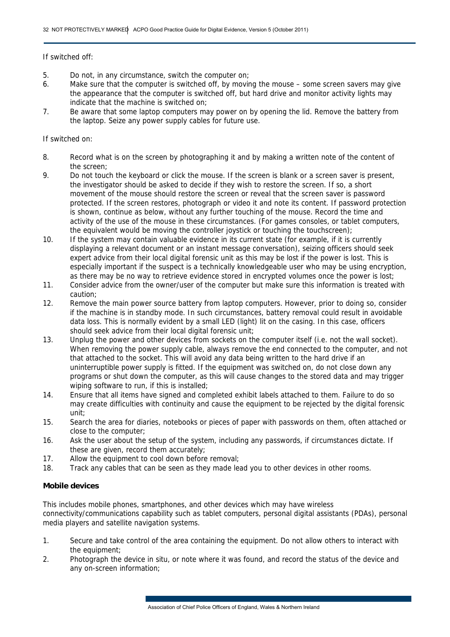#### If switched off:

- 5. Do not, in any circumstance, switch the computer on;
- 6. Make sure that the computer is switched off, by moving the mouse some screen savers may give the appearance that the computer is switched off, but hard drive and monitor activity lights may indicate that the machine is switched on;
- 7. Be aware that some laptop computers may power on by opening the lid. Remove the battery from the laptop. Seize any power supply cables for future use.

If switched on:

- 8. Record what is on the screen by photographing it and by making a written note of the content of the screen;
- 9. Do not touch the keyboard or click the mouse. If the screen is blank or a screen saver is present, the investigator should be asked to decide if they wish to restore the screen. If so, a short movement of the mouse should restore the screen or reveal that the screen saver is password protected. If the screen restores, photograph or video it and note its content. If password protection is shown, continue as below, without any further touching of the mouse. Record the time and activity of the use of the mouse in these circumstances. (For games consoles, or tablet computers, the equivalent would be moving the controller joystick or touching the touchscreen);
- 10. If the system may contain valuable evidence in its current state (for example, if it is currently displaying a relevant document or an instant message conversation), seizing officers should seek expert advice from their local digital forensic unit as this may be lost if the power is lost. This is especially important if the suspect is a technically knowledgeable user who may be using encryption, as there may be no way to retrieve evidence stored in encrypted volumes once the power is lost;
- 11. Consider advice from the owner/user of the computer but make sure this information is treated with caution;
- 12. Remove the main power source battery from laptop computers. However, prior to doing so, consider if the machine is in standby mode. In such circumstances, battery removal could result in avoidable data loss. This is normally evident by a small LED (light) lit on the casing. In this case, officers should seek advice from their local digital forensic unit;
- 13. Unplug the power and other devices from sockets on the computer itself (i.e. not the wall socket). When removing the power supply cable, always remove the end connected to the computer, and not that attached to the socket. This will avoid any data being written to the hard drive if an uninterruptible power supply is fitted. If the equipment was switched on, do not close down any programs or shut down the computer, as this will cause changes to the stored data and may trigger wiping software to run, if this is installed;
- 14. Ensure that all items have signed and completed exhibit labels attached to them. Failure to do so may create difficulties with continuity and cause the equipment to be rejected by the digital forensic unit;
- 15. Search the area for diaries, notebooks or pieces of paper with passwords on them, often attached or close to the computer;
- 16. Ask the user about the setup of the system, including any passwords, if circumstances dictate. If these are given, record them accurately;
- 17. Allow the equipment to cool down before removal;
- 18. Track any cables that can be seen as they made lead you to other devices in other rooms.

#### **Mobile devices**

This includes mobile phones, smartphones, and other devices which may have wireless connectivity/communications capability such as tablet computers, personal digital assistants (PDAs), personal media players and satellite navigation systems.

- 1. Secure and take control of the area containing the equipment. Do not allow others to interact with the equipment;
- 2. Photograph the device in situ, or note where it was found, and record the status of the device and any on-screen information;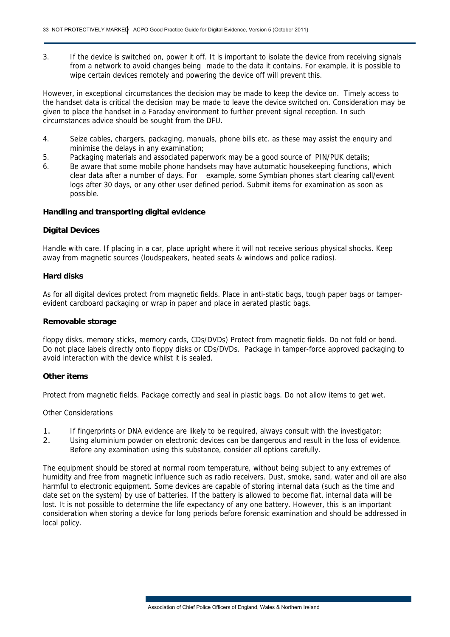3. If the device is switched on, power it off. It is important to isolate the device from receiving signals from a network to avoid changes being made to the data it contains. For example, it is possible to wipe certain devices remotely and powering the device off will prevent this.

However, in exceptional circumstances the decision may be made to keep the device on. Timely access to the handset data is critical the decision may be made to leave the device switched on. Consideration may be given to place the handset in a Faraday environment to further prevent signal reception. In such circumstances advice should be sought from the DFU.

- 4. Seize cables, chargers, packaging, manuals, phone bills etc. as these may assist the enquiry and minimise the delays in any examination;
- 5. Packaging materials and associated paperwork may be a good source of PIN/PUK details;
- 6. Be aware that some mobile phone handsets may have automatic housekeeping functions, which clear data after a number of days. For example, some Symbian phones start clearing call/event logs after 30 days, or any other user defined period. Submit items for examination as soon as possible.

#### **Handling and transporting digital evidence**

#### **Digital Devices**

Handle with care. If placing in a car, place upright where it will not receive serious physical shocks. Keep away from magnetic sources (loudspeakers, heated seats & windows and police radios).

#### **Hard disks**

As for all digital devices protect from magnetic fields. Place in anti-static bags, tough paper bags or tamperevident cardboard packaging or wrap in paper and place in aerated plastic bags.

#### **Removable storage**

floppy disks, memory sticks, memory cards, CDs/DVDs) Protect from magnetic fields. Do not fold or bend. Do not place labels directly onto floppy disks or CDs/DVDs. Package in tamper-force approved packaging to avoid interaction with the device whilst it is sealed.

#### **Other items**

Protect from magnetic fields. Package correctly and seal in plastic bags. Do not allow items to get wet.

Other Considerations

- 1. If fingerprints or DNA evidence are likely to be required, always consult with the investigator;
- 2. Using aluminium powder on electronic devices can be dangerous and result in the loss of evidence. Before any examination using this substance, consider all options carefully.

The equipment should be stored at normal room temperature, without being subject to any extremes of humidity and free from magnetic influence such as radio receivers. Dust, smoke, sand, water and oil are also harmful to electronic equipment. Some devices are capable of storing internal data (such as the time and date set on the system) by use of batteries. If the battery is allowed to become flat, internal data will be lost. It is not possible to determine the life expectancy of any one battery. However, this is an important consideration when storing a device for long periods before forensic examination and should be addressed in local policy.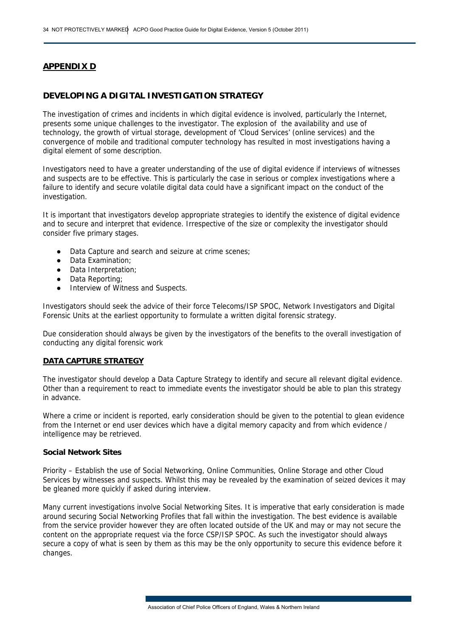#### **APPENDIX D**

#### **DEVELOPING A DIGITAL INVESTIGATION STRATEGY**

The investigation of crimes and incidents in which digital evidence is involved, particularly the Internet, presents some unique challenges to the investigator. The explosion of the availability and use of technology, the growth of virtual storage, development of 'Cloud Services' (online services) and the convergence of mobile and traditional computer technology has resulted in most investigations having a digital element of some description.

Investigators need to have a greater understanding of the use of digital evidence if interviews of witnesses and suspects are to be effective. This is particularly the case in serious or complex investigations where a failure to identify and secure volatile digital data could have a significant impact on the conduct of the investigation.

It is important that investigators develop appropriate strategies to identify the existence of digital evidence and to secure and interpret that evidence. Irrespective of the size or complexity the investigator should consider five primary stages.

- Data Capture and search and seizure at crime scenes;
- Data Examination;
- Data Interpretation;
- Data Reporting;
- Interview of Witness and Suspects.

Investigators should seek the advice of their force Telecoms/ISP SPOC, Network Investigators and Digital Forensic Units at the earliest opportunity to formulate a written digital forensic strategy.

Due consideration should always be given by the investigators of the benefits to the overall investigation of conducting any digital forensic work

#### **DATA CAPTURE STRATEGY**

The investigator should develop a Data Capture Strategy to identify and secure all relevant digital evidence. Other than a requirement to react to immediate events the investigator should be able to plan this strategy in advance.

Where a crime or incident is reported, early consideration should be given to the potential to glean evidence from the Internet or end user devices which have a digital memory capacity and from which evidence / intelligence may be retrieved.

#### **Social Network Sites**

Priority – Establish the use of Social Networking, Online Communities, Online Storage and other Cloud Services by witnesses and suspects. Whilst this may be revealed by the examination of seized devices it may be gleaned more quickly if asked during interview.

Many current investigations involve Social Networking Sites. It is imperative that early consideration is made around securing Social Networking Profiles that fall within the investigation. The best evidence is available from the service provider however they are often located outside of the UK and may or may not secure the content on the appropriate request via the force CSP/ISP SPOC. As such the investigator should always secure a copy of what is seen by them as this may be the only opportunity to secure this evidence before it changes.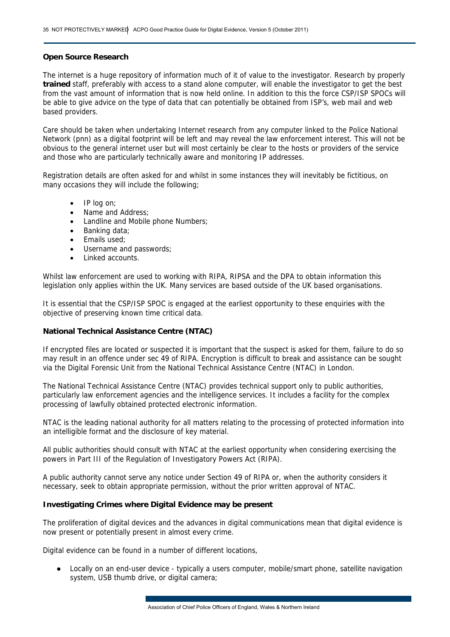#### **Open Source Research**

The internet is a huge repository of information much of it of value to the investigator. Research by properly **trained** staff, preferably with access to a stand alone computer, will enable the investigator to get the best from the vast amount of information that is now held online. In addition to this the force CSP/ISP SPOCs will be able to give advice on the type of data that can potentially be obtained from ISP's, web mail and web based providers.

Care should be taken when undertaking Internet research from any computer linked to the Police National Network (pnn) as a digital footprint will be left and may reveal the law enforcement interest. This will not be obvious to the general internet user but will most certainly be clear to the hosts or providers of the service and those who are particularly technically aware and monitoring IP addresses.

Registration details are often asked for and whilst in some instances they will inevitably be fictitious, on many occasions they will include the following;

- IP log on;
- Name and Address:
- Landline and Mobile phone Numbers;
- Banking data;
- Emails used;
- Username and passwords;
- Linked accounts.

Whilst law enforcement are used to working with RIPA, RIPSA and the DPA to obtain information this legislation only applies within the UK. Many services are based outside of the UK based organisations.

It is essential that the CSP/ISP SPOC is engaged at the earliest opportunity to these enquiries with the objective of preserving known time critical data.

#### **National Technical Assistance Centre (NTAC)**

If encrypted files are located or suspected it is important that the suspect is asked for them, failure to do so may result in an offence under sec 49 of RIPA. Encryption is difficult to break and assistance can be sought via the Digital Forensic Unit from the National Technical Assistance Centre (NTAC) in London.

The National Technical Assistance Centre (NTAC) provides technical support only to public authorities, particularly law enforcement agencies and the intelligence services. It includes a facility for the complex processing of lawfully obtained protected electronic information.

NTAC is the leading national authority for all matters relating to the processing of protected information into an intelligible format and the disclosure of key material.

All public authorities should consult with NTAC at the earliest opportunity when considering exercising the powers in Part III of the Regulation of Investigatory Powers Act (RIPA).

A public authority cannot serve any notice under Section 49 of RIPA or, when the authority considers it necessary, seek to obtain appropriate permission, without the prior written approval of NTAC.

#### **Investigating Crimes where Digital Evidence may be present**

The proliferation of digital devices and the advances in digital communications mean that digital evidence is now present or potentially present in almost every crime.

Digital evidence can be found in a number of different locations,

● Locally on an end-user device - typically a users computer, mobile/smart phone, satellite navigation system, USB thumb drive, or digital camera;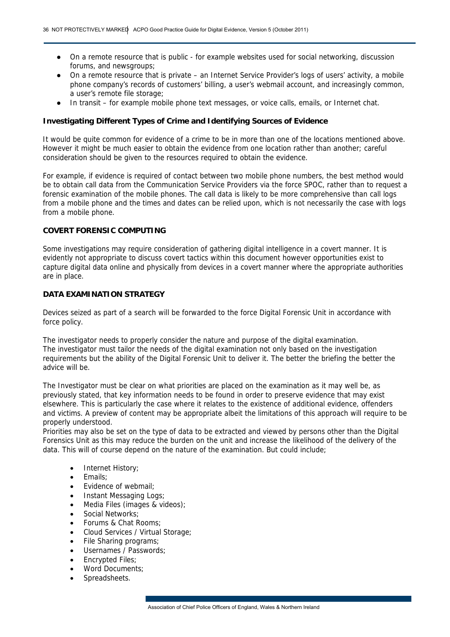- On a remote resource that is public for example websites used for social networking, discussion forums, and newsgroups;
- On a remote resource that is private an Internet Service Provider's logs of users' activity, a mobile phone company's records of customers' billing, a user's webmail account, and increasingly common, a user's remote file storage;
- In transit for example mobile phone text messages, or voice calls, emails, or Internet chat.

#### **Investigating Different Types of Crime and Identifying Sources of Evidence**

It would be quite common for evidence of a crime to be in more than one of the locations mentioned above. However it might be much easier to obtain the evidence from one location rather than another; careful consideration should be given to the resources required to obtain the evidence.

For example, if evidence is required of contact between two mobile phone numbers, the best method would be to obtain call data from the Communication Service Providers via the force SPOC, rather than to request a forensic examination of the mobile phones. The call data is likely to be more comprehensive than call logs from a mobile phone and the times and dates can be relied upon, which is not necessarily the case with logs from a mobile phone.

#### **COVERT FORENSIC COMPUTING**

Some investigations may require consideration of gathering digital intelligence in a covert manner. It is evidently not appropriate to discuss covert tactics within this document however opportunities exist to capture digital data online and physically from devices in a covert manner where the appropriate authorities are in place.

#### **DATA EXAMINATION STRATEGY**

Devices seized as part of a search will be forwarded to the force Digital Forensic Unit in accordance with force policy.

The investigator needs to properly consider the nature and purpose of the digital examination. The investigator must tailor the needs of the digital examination not only based on the investigation requirements but the ability of the Digital Forensic Unit to deliver it. The better the briefing the better the advice will be.

The Investigator must be clear on what priorities are placed on the examination as it may well be, as previously stated, that key information needs to be found in order to preserve evidence that may exist elsewhere. This is particularly the case where it relates to the existence of additional evidence, offenders and victims. A preview of content may be appropriate albeit the limitations of this approach will require to be properly understood.

Priorities may also be set on the type of data to be extracted and viewed by persons other than the Digital Forensics Unit as this may reduce the burden on the unit and increase the likelihood of the delivery of the data. This will of course depend on the nature of the examination. But could include;

- Internet History;
- Emails;
- Evidence of webmail:
- Instant Messaging Logs;
- Media Files (images & videos);
- Social Networks:
- Forums & Chat Rooms;
- Cloud Services / Virtual Storage;
- File Sharing programs;
- Usernames / Passwords;
- Encrypted Files;
- Word Documents:
- Spreadsheets.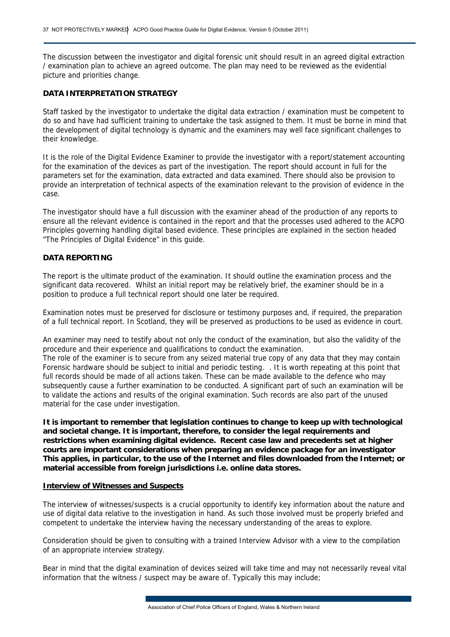The discussion between the investigator and digital forensic unit should result in an agreed digital extraction / examination plan to achieve an agreed outcome. The plan may need to be reviewed as the evidential picture and priorities change.

#### **DATA INTERPRETATION STRATEGY**

Staff tasked by the investigator to undertake the digital data extraction / examination must be competent to do so and have had sufficient training to undertake the task assigned to them. It must be borne in mind that the development of digital technology is dynamic and the examiners may well face significant challenges to their knowledge.

It is the role of the Digital Evidence Examiner to provide the investigator with a report/statement accounting for the examination of the devices as part of the investigation. The report should account in full for the parameters set for the examination, data extracted and data examined. There should also be provision to provide an interpretation of technical aspects of the examination relevant to the provision of evidence in the case.

The investigator should have a full discussion with the examiner ahead of the production of any reports to ensure all the relevant evidence is contained in the report and that the processes used adhered to the ACPO Principles governing handling digital based evidence. These principles are explained in the section headed "The Principles of Digital Evidence" in this guide.

#### **DATA REPORTING**

The report is the ultimate product of the examination. It should outline the examination process and the significant data recovered. Whilst an initial report may be relatively brief, the examiner should be in a position to produce a full technical report should one later be required.

Examination notes must be preserved for disclosure or testimony purposes and, if required, the preparation of a full technical report. In Scotland, they will be preserved as productions to be used as evidence in court.

An examiner may need to testify about not only the conduct of the examination, but also the validity of the procedure and their experience and qualifications to conduct the examination.

The role of the examiner is to secure from any seized material true copy of any data that they may contain Forensic hardware should be subject to initial and periodic testing. . It is worth repeating at this point that full records should be made of all actions taken. These can be made available to the defence who may subsequently cause a further examination to be conducted. A significant part of such an examination will be to validate the actions and results of the original examination. Such records are also part of the unused material for the case under investigation.

**It is important to remember that legislation continues to change to keep up with technological and societal change. It is important, therefore, to consider the legal requirements and restrictions when examining digital evidence. Recent case law and precedents set at higher courts are important considerations when preparing an evidence package for an investigator This applies, in particular, to the use of the Internet and files downloaded from the Internet; or material accessible from foreign jurisdictions i.e. online data stores.** 

#### **Interview of Witnesses and Suspects**

The interview of witnesses/suspects is a crucial opportunity to identify key information about the nature and use of digital data relative to the investigation in hand. As such those involved must be properly briefed and competent to undertake the interview having the necessary understanding of the areas to explore.

Consideration should be given to consulting with a trained Interview Advisor with a view to the compilation of an appropriate interview strategy.

Bear in mind that the digital examination of devices seized will take time and may not necessarily reveal vital information that the witness / suspect may be aware of. Typically this may include;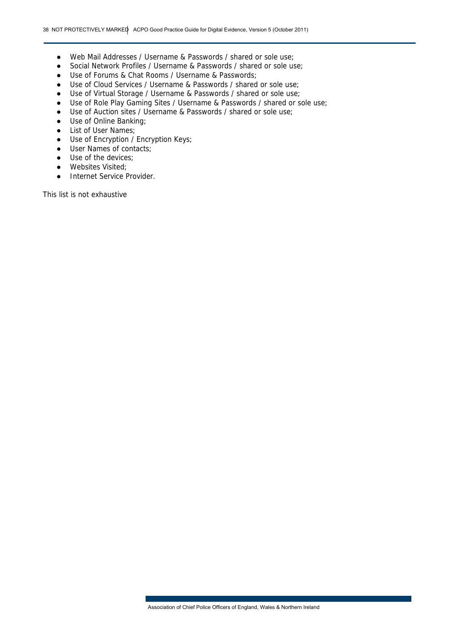- Web Mail Addresses / Username & Passwords / shared or sole use;
- Social Network Profiles / Username & Passwords / shared or sole use;
- Use of Forums & Chat Rooms / Username & Passwords;
- Use of Cloud Services / Username & Passwords / shared or sole use;
- Use of Virtual Storage / Username & Passwords / shared or sole use;
- Use of Role Play Gaming Sites / Username & Passwords / shared or sole use;
- Use of Auction sites / Username & Passwords / shared or sole use;
- Use of Online Banking;
- List of User Names;
- Use of Encryption / Encryption Keys;
- User Names of contacts;
- Use of the devices;
- Websites Visited;
- Internet Service Provider.

This list is not exhaustive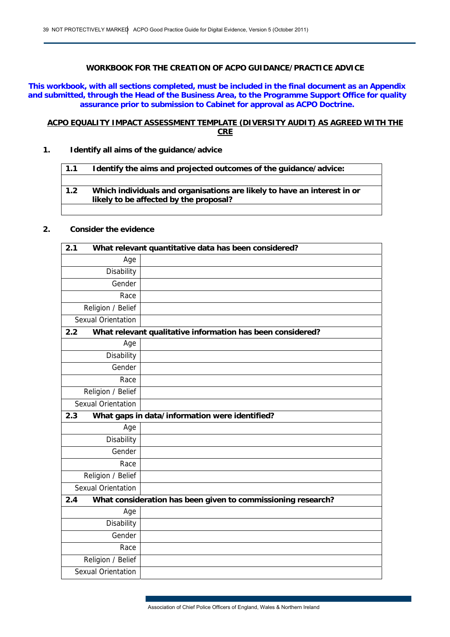#### **WORKBOOK FOR THE CREATION OF ACPO GUIDANCE/PRACTICE ADVICE**

#### **This workbook, with all sections completed, must be included in the final document as an Appendix and submitted, through the Head of the Business Area, to the Programme Support Office for quality assurance prior to submission to Cabinet for approval as ACPO Doctrine.**

#### **ACPO EQUALITY IMPACT ASSESSMENT TEMPLATE (DIVERSITY AUDIT) AS AGREED WITH THE CRE**

#### **1. Identify all aims of the guidance/advice**

### **1.1 Identify the aims and projected outcomes of the guidance/advice: 1.2 Which individuals and organisations are likely to have an interest in or likely to be affected by the proposal?**

#### **2. Consider the evidence**

| 2.1                | What relevant quantitative data has been considered?         |
|--------------------|--------------------------------------------------------------|
| Age                |                                                              |
| Disability         |                                                              |
| Gender             |                                                              |
| Race               |                                                              |
| Religion / Belief  |                                                              |
| Sexual Orientation |                                                              |
| 2.2                | What relevant qualitative information has been considered?   |
| Age                |                                                              |
| Disability         |                                                              |
| Gender             |                                                              |
| Race               |                                                              |
| Religion / Belief  |                                                              |
| Sexual Orientation |                                                              |
| 2.3                | What gaps in data/information were identified?               |
|                    |                                                              |
| Age                |                                                              |
| Disability         |                                                              |
| Gender             |                                                              |
| Race               |                                                              |
| Religion / Belief  |                                                              |
| Sexual Orientation |                                                              |
| 2.4                | What consideration has been given to commissioning research? |
| Age                |                                                              |
| Disability         |                                                              |
| Gender             |                                                              |
| Race               |                                                              |
| Religion / Belief  |                                                              |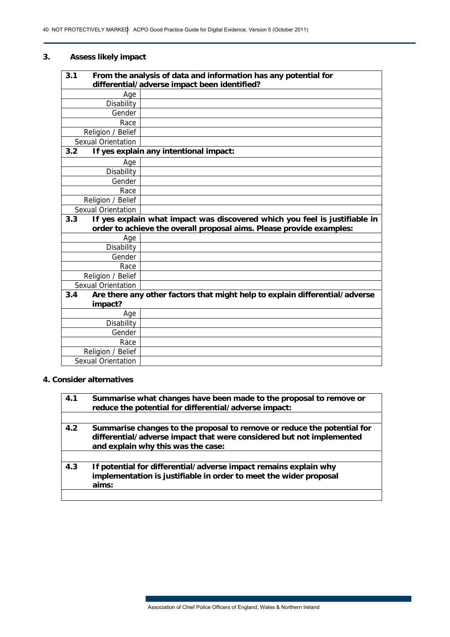### **3. Assess likely impact**

| 3.1<br>From the analysis of data and information has any potential for |                                                                             |
|------------------------------------------------------------------------|-----------------------------------------------------------------------------|
|                                                                        | differential/adverse impact been identified?                                |
| Age                                                                    |                                                                             |
| Disability                                                             |                                                                             |
| Gender                                                                 |                                                                             |
| Race                                                                   |                                                                             |
| Religion / Belief                                                      |                                                                             |
| Sexual Orientation                                                     |                                                                             |
| 3.2                                                                    | If yes explain any intentional impact:                                      |
| Age                                                                    |                                                                             |
| Disability                                                             |                                                                             |
| Gender                                                                 |                                                                             |
| Race                                                                   |                                                                             |
| Religion / Belief                                                      |                                                                             |
| Sexual Orientation                                                     |                                                                             |
| 3.3                                                                    | If yes explain what impact was discovered which you feel is justifiable in  |
|                                                                        | order to achieve the overall proposal aims. Please provide examples:        |
| Age                                                                    |                                                                             |
| Disability                                                             |                                                                             |
| Gender                                                                 |                                                                             |
| Race                                                                   |                                                                             |
| Religion / Belief                                                      |                                                                             |
| Sexual Orientation                                                     |                                                                             |
| 3.4                                                                    | Are there any other factors that might help to explain differential/adverse |
| impact?                                                                |                                                                             |
| Age                                                                    |                                                                             |
| Disability                                                             |                                                                             |
| Gender                                                                 |                                                                             |
| Race                                                                   |                                                                             |
| Religion / Belief                                                      |                                                                             |
| Sexual Orientation                                                     |                                                                             |

#### **4. Consider alternatives**

| 4.1 | Summarise what changes have been made to the proposal to remove or<br>reduce the potential for differential/adverse impact:                    |
|-----|------------------------------------------------------------------------------------------------------------------------------------------------|
| 4.2 | Summarise changes to the proposal to remove or reduce the potential for                                                                        |
|     | differential/adverse impact that were considered but not implemented<br>and explain why this was the case:                                     |
|     |                                                                                                                                                |
| 4.3 | If potential for differential/adverse impact remains explain why<br>implementation is justifiable in order to meet the wider proposal<br>aims: |
|     |                                                                                                                                                |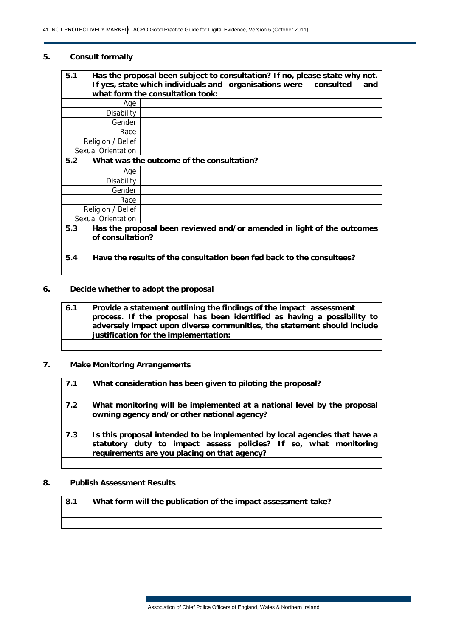#### **5. Consult formally**

#### **5.1 Has the proposal been subject to consultation? If no, please state why not. If yes, state which individuals and organisations were consulted and what form the consultation took:**  Age **Disability** Gender Race Religion / Belief Sexual Orientation **5.2 What was the outcome of the consultation?** Age Disability Gender Race Religion / Belief

Sexual Orientation **5.3 Has the proposal been reviewed and/or amended in light of the outcomes of consultation?** 

**5.4 Have the results of the consultation been fed back to the consultees?** 

#### **6. Decide whether to adopt the proposal**

**6.1 Provide a statement outlining the findings of the impact assessment process. If the proposal has been identified as having a possibility to adversely impact upon diverse communities, the statement should include justification for the implementation:** 

#### **7. Make Monitoring Arrangements**

| 7.1 | What consideration has been given to piloting the proposal?                                                                                                                                   |
|-----|-----------------------------------------------------------------------------------------------------------------------------------------------------------------------------------------------|
|     |                                                                                                                                                                                               |
| 7.2 | What monitoring will be implemented at a national level by the proposal<br>owning agency and/or other national agency?                                                                        |
|     |                                                                                                                                                                                               |
| 7.3 | Is this proposal intended to be implemented by local agencies that have a<br>statutory duty to impact assess policies? If so, what monitoring<br>requirements are you placing on that agency? |
|     |                                                                                                                                                                                               |
|     |                                                                                                                                                                                               |

#### **8. Publish Assessment Results**

**8.1 What form will the publication of the impact assessment take?**